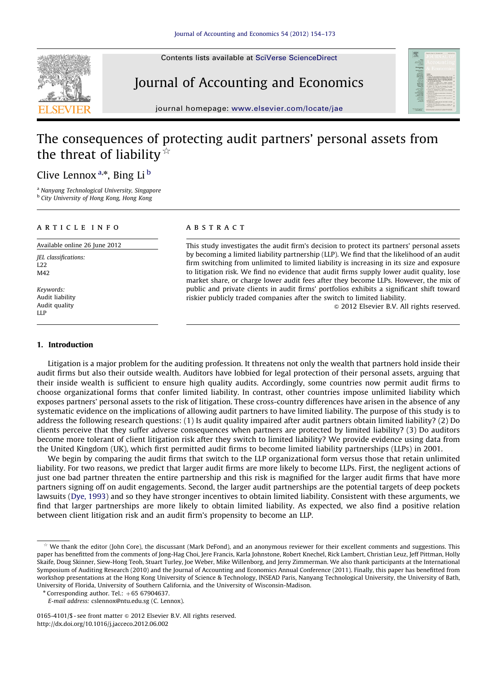Contents lists available at [SciVerse ScienceDirect](www.elsevier.com/locate/jae)



# Journal of Accounting and Economics



journal homepage: <www.elsevier.com/locate/jae>

## The consequences of protecting audit partners' personal assets from the threat of liability  $\dot{x}$

## Clive Lennox<sup>a,\*</sup>, Bing Li<sup>b</sup>

<sup>a</sup> Nanyang Technological University, Singapore **b** City University of Hong Kong, Hong Kong

## article info

Available online 26 June 2012

JEL classifications: L22 M42

Keywords: Audit liability Audit quality LLP

## 1. Introduction

## **ABSTRACT**

This study investigates the audit firm's decision to protect its partners' personal assets by becoming a limited liability partnership (LLP). We find that the likelihood of an audit firm switching from unlimited to limited liability is increasing in its size and exposure to litigation risk. We find no evidence that audit firms supply lower audit quality, lose market share, or charge lower audit fees after they become LLPs. However, the mix of public and private clients in audit firms' portfolios exhibits a significant shift toward riskier publicly traded companies after the switch to limited liability.

 $\odot$  2012 Elsevier B.V. All rights reserved.

Litigation is a major problem for the auditing profession. It threatens not only the wealth that partners hold inside their audit firms but also their outside wealth. Auditors have lobbied for legal protection of their personal assets, arguing that their inside wealth is sufficient to ensure high quality audits. Accordingly, some countries now permit audit firms to choose organizational forms that confer limited liability. In contrast, other countries impose unlimited liability which exposes partners' personal assets to the risk of litigation. These cross-country differences have arisen in the absence of any systematic evidence on the implications of allowing audit partners to have limited liability. The purpose of this study is to address the following research questions: (1) Is audit quality impaired after audit partners obtain limited liability? (2) Do clients perceive that they suffer adverse consequences when partners are protected by limited liability? (3) Do auditors become more tolerant of client litigation risk after they switch to limited liability? We provide evidence using data from the United Kingdom (UK), which first permitted audit firms to become limited liability partnerships (LLPs) in 2001.

We begin by comparing the audit firms that switch to the LLP organizational form versus those that retain unlimited liability. For two reasons, we predict that larger audit firms are more likely to become LLPs. First, the negligent actions of just one bad partner threaten the entire partnership and this risk is magnified for the larger audit firms that have more partners signing off on audit engagements. Second, the larger audit partnerships are the potential targets of deep pockets lawsuits [\(Dye, 1993\)](#page-19-0) and so they have stronger incentives to obtain limited liability. Consistent with these arguments, we find that larger partnerships are more likely to obtain limited liability. As expected, we also find a positive relation between client litigation risk and an audit firm's propensity to become an LLP.

 $*$  We thank the editor (John Core), the discussant (Mark DeFond), and an anonymous reviewer for their excellent comments and suggestions. This paper has benefitted from the comments of Jong-Hag Choi, Jere Francis, Karla Johnstone, Robert Knechel, Rick Lambert, Christian Leuz, Jeff Pittman, Holly Skaife, Doug Skinner, Siew-Hong Teoh, Stuart Turley, Joe Weber, Mike Willenborg, and Jerry Zimmerman. We also thank participants at the International Symposium of Auditing Research (2010) and the Journal of Accounting and Economics Annual Conference (2011). Finally, this paper has benefitted from workshop presentations at the Hong Kong University of Science & Technology, INSEAD Paris, Nanyang Technological University, the University of Bath, University of Florida, University of Southern California, and the University of Wisconsin-Madison.

 $*$  Corresponding author. Tel.:  $+65$  67904637.

E-mail address: [cslennox@ntu.edu.sg \(C. Lennox\).](mailto:cslennox@ntu.edu.sg)

<sup>0165-4101/\$ -</sup> see front matter  $\odot$  2012 Elsevier B.V. All rights reserved. [http://dx.doi.org/10.1016/j.jacceco.2012.06.002](dx.doi.org/10.1016/j.jacceco.2012.06.002)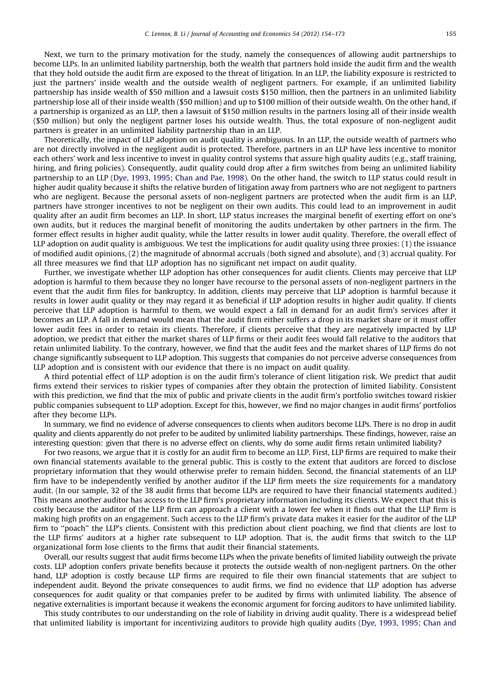Next, we turn to the primary motivation for the study, namely the consequences of allowing audit partnerships to become LLPs. In an unlimited liability partnership, both the wealth that partners hold inside the audit firm and the wealth that they hold outside the audit firm are exposed to the threat of litigation. In an LLP, the liability exposure is restricted to just the partners' inside wealth and the outside wealth of negligent partners. For example, if an unlimited liability partnership has inside wealth of \$50 million and a lawsuit costs \$150 million, then the partners in an unlimited liability partnership lose all of their inside wealth (\$50 million) and up to \$100 million of their outside wealth. On the other hand, if a partnership is organized as an LLP, then a lawsuit of \$150 million results in the partners losing all of their inside wealth (\$50 million) but only the negligent partner loses his outside wealth. Thus, the total exposure of non-negligent audit partners is greater in an unlimited liability partnership than in an LLP.

Theoretically, the impact of LLP adoption on audit quality is ambiguous. In an LLP, the outside wealth of partners who are not directly involved in the negligent audit is protected. Therefore, partners in an LLP have less incentive to monitor each others' work and less incentive to invest in quality control systems that assure high quality audits (e.g., staff training, hiring, and firing policies). Consequently, audit quality could drop after a firm switches from being an unlimited liability partnership to an LLP [\(Dye, 1993,](#page-19-0) [1995;](#page-19-0) [Chan and Pae, 1998](#page-18-0)). On the other hand, the switch to LLP status could result in higher audit quality because it shifts the relative burden of litigation away from partners who are not negligent to partners who are negligent. Because the personal assets of non-negligent partners are protected when the audit firm is an LLP, partners have stronger incentives to not be negligent on their own audits. This could lead to an improvement in audit quality after an audit firm becomes an LLP. In short, LLP status increases the marginal benefit of exerting effort on one's own audits, but it reduces the marginal benefit of monitoring the audits undertaken by other partners in the firm. The former effect results in higher audit quality, while the latter results in lower audit quality. Therefore, the overall effect of LLP adoption on audit quality is ambiguous. We test the implications for audit quality using three proxies: (1) the issuance of modified audit opinions, (2) the magnitude of abnormal accruals (both signed and absolute), and (3) accrual quality. For all three measures we find that LLP adoption has no significant net impact on audit quality.

Further, we investigate whether LLP adoption has other consequences for audit clients. Clients may perceive that LLP adoption is harmful to them because they no longer have recourse to the personal assets of non-negligent partners in the event that the audit firm files for bankruptcy. In addition, clients may perceive that LLP adoption is harmful because it results in lower audit quality or they may regard it as beneficial if LLP adoption results in higher audit quality. If clients perceive that LLP adoption is harmful to them, we would expect a fall in demand for an audit firm's services after it becomes an LLP. A fall in demand would mean that the audit firm either suffers a drop in its market share or it must offer lower audit fees in order to retain its clients. Therefore, if clients perceive that they are negatively impacted by LLP adoption, we predict that either the market shares of LLP firms or their audit fees would fall relative to the auditors that retain unlimited liability. To the contrary, however, we find that the audit fees and the market shares of LLP firms do not change significantly subsequent to LLP adoption. This suggests that companies do not perceive adverse consequences from LLP adoption and is consistent with our evidence that there is no impact on audit quality.

A third potential effect of LLP adoption is on the audit firm's tolerance of client litigation risk. We predict that audit firms extend their services to riskier types of companies after they obtain the protection of limited liability. Consistent with this prediction, we find that the mix of public and private clients in the audit firm's portfolio switches toward riskier public companies subsequent to LLP adoption. Except for this, however, we find no major changes in audit firms' portfolios after they become LLPs.

In summary, we find no evidence of adverse consequences to clients when auditors become LLPs. There is no drop in audit quality and clients apparently do not prefer to be audited by unlimited liability partnerships. These findings, however, raise an interesting question: given that there is no adverse effect on clients, why do some audit firms retain unlimited liability?

For two reasons, we argue that it is costly for an audit firm to become an LLP. First, LLP firms are required to make their own financial statements available to the general public. This is costly to the extent that auditors are forced to disclose proprietary information that they would otherwise prefer to remain hidden. Second, the financial statements of an LLP firm have to be independently verified by another auditor if the LLP firm meets the size requirements for a mandatory audit. (In our sample, 32 of the 38 audit firms that become LLPs are required to have their financial statements audited.) This means another auditor has access to the LLP firm's proprietary information including its clients. We expect that this is costly because the auditor of the LLP firm can approach a client with a lower fee when it finds out that the LLP firm is making high profits on an engagement. Such access to the LLP firm's private data makes it easier for the auditor of the LLP firm to "poach" the LLP's clients. Consistent with this prediction about client poaching, we find that clients are lost to the LLP firms' auditors at a higher rate subsequent to LLP adoption. That is, the audit firms that switch to the LLP organizational form lose clients to the firms that audit their financial statements.

Overall, our results suggest that audit firms become LLPs when the private benefits of limited liability outweigh the private costs. LLP adoption confers private benefits because it protects the outside wealth of non-negligent partners. On the other hand, LLP adoption is costly because LLP firms are required to file their own financial statements that are subject to independent audit. Beyond the private consequences to audit firms, we find no evidence that LLP adoption has adverse consequences for audit quality or that companies prefer to be audited by firms with unlimited liability. The absence of negative externalities is important because it weakens the economic argument for forcing auditors to have unlimited liability.

This study contributes to our understanding on the role of liability in driving audit quality. There is a widespread belief that unlimited liability is important for incentivizing auditors to provide high quality audits [\(Dye, 1993,](#page-19-0) [1995;](#page-19-0) [Chan and](#page-18-0)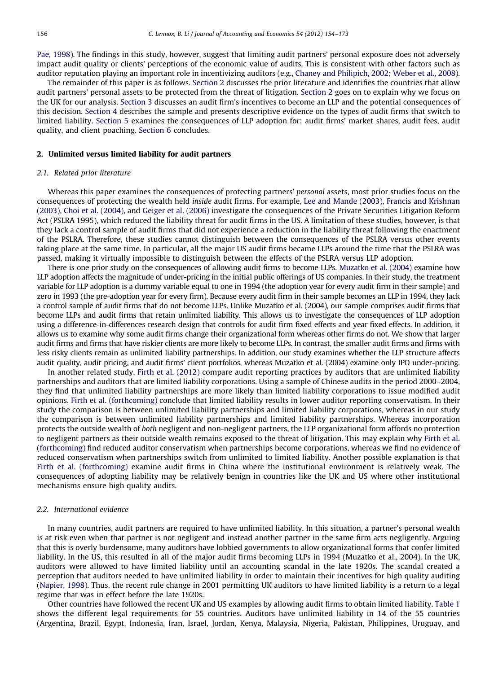[Pae, 1998\)](#page-18-0). The findings in this study, however, suggest that limiting audit partners' personal exposure does not adversely impact audit quality or clients' perceptions of the economic value of audits. This is consistent with other factors such as auditor reputation playing an important role in incentivizing auditors (e.g., [Chaney and Philipich, 2002](#page-18-0); [Weber et al., 2008](#page-19-0)).

The remainder of this paper is as follows. Section 2 discusses the prior literature and identifies the countries that allow audit partners' personal assets to be protected from the threat of litigation. Section 2 goes on to explain why we focus on the UK for our analysis. [Section 3](#page-5-0) discusses an audit firm's incentives to become an LLP and the potential consequences of this decision. [Section 4](#page-6-0) describes the sample and presents descriptive evidence on the types of audit firms that switch to limited liability. [Section 5](#page-9-0) examines the consequences of LLP adoption for: audit firms' market shares, audit fees, audit quality, and client poaching. [Section 6](#page-16-0) concludes.

#### 2. Unlimited versus limited liability for audit partners

#### 2.1. Related prior literature

Whereas this paper examines the consequences of protecting partners' personal assets, most prior studies focus on the consequences of protecting the wealth held inside audit firms. For example, [Lee and Mande \(2003\),](#page-19-0) [Francis and Krishnan](#page-19-0) [\(2003\)](#page-19-0), [Choi et al. \(2004\)](#page-19-0), and [Geiger et al. \(2006\)](#page-19-0) investigate the consequences of the Private Securities Litigation Reform Act (PSLRA 1995), which reduced the liability threat for audit firms in the US. A limitation of these studies, however, is that they lack a control sample of audit firms that did not experience a reduction in the liability threat following the enactment of the PSLRA. Therefore, these studies cannot distinguish between the consequences of the PSLRA versus other events taking place at the same time. In particular, all the major US audit firms became LLPs around the time that the PSLRA was passed, making it virtually impossible to distinguish between the effects of the PSLRA versus LLP adoption.

There is one prior study on the consequences of allowing audit firms to become LLPs. [Muzatko et al. \(2004\)](#page-19-0) examine how LLP adoption affects the magnitude of under-pricing in the initial public offerings of US companies. In their study, the treatment variable for LLP adoption is a dummy variable equal to one in 1994 (the adoption year for every audit firm in their sample) and zero in 1993 (the pre-adoption year for every firm). Because every audit firm in their sample becomes an LLP in 1994, they lack a control sample of audit firms that do not become LLPs. Unlike Muzatko et al. (2004), our sample comprises audit firms that become LLPs and audit firms that retain unlimited liability. This allows us to investigate the consequences of LLP adoption using a difference-in-differences research design that controls for audit firm fixed effects and year fixed effects. In addition, it allows us to examine why some audit firms change their organizational form whereas other firms do not. We show that larger audit firms and firms that have riskier clients are more likely to become LLPs. In contrast, the smaller audit firms and firms with less risky clients remain as unlimited liability partnerships. In addition, our study examines whether the LLP structure affects audit quality, audit pricing, and audit firms' client portfolios, whereas Muzatko et al. (2004) examine only IPO under-pricing.

In another related study, [Firth et al. \(2012\)](#page-19-0) compare audit reporting practices by auditors that are unlimited liability partnerships and auditors that are limited liability corporations. Using a sample of Chinese audits in the period 2000–2004, they find that unlimited liability partnerships are more likely than limited liability corporations to issue modified audit opinions. [Firth et al. \(forthcoming\)](#page-19-0) conclude that limited liability results in lower auditor reporting conservatism. In their study the comparison is between unlimited liability partnerships and limited liability corporations, whereas in our study the comparison is between unlimited liability partnerships and limited liability partnerships. Whereas incorporation protects the outside wealth of both negligent and non-negligent partners, the LLP organizational form affords no protection to negligent partners as their outside wealth remains exposed to the threat of litigation. This may explain why [Firth et al.](#page-19-0) [\(forthcoming\)](#page-19-0) find reduced auditor conservatism when partnerships become corporations, whereas we find no evidence of reduced conservatism when partnerships switch from unlimited to limited liability. Another possible explanation is that [Firth et al. \(forthcoming\)](#page-19-0) examine audit firms in China where the institutional environment is relatively weak. The consequences of adopting liability may be relatively benign in countries like the UK and US where other institutional mechanisms ensure high quality audits.

#### 2.2. International evidence

In many countries, audit partners are required to have unlimited liability. In this situation, a partner's personal wealth is at risk even when that partner is not negligent and instead another partner in the same firm acts negligently. Arguing that this is overly burdensome, many auditors have lobbied governments to allow organizational forms that confer limited liability. In the US, this resulted in all of the major audit firms becoming LLPs in 1994 (Muzatko et al., 2004). In the UK, auditors were allowed to have limited liability until an accounting scandal in the late 1920s. The scandal created a perception that auditors needed to have unlimited liability in order to maintain their incentives for high quality auditing ([Napier, 1998](#page-19-0)). Thus, the recent rule change in 2001 permitting UK auditors to have limited liability is a return to a legal regime that was in effect before the late 1920s.

Other countries have followed the recent UK and US examples by allowing audit firms to obtain limited liability. [Table 1](#page-3-0) shows the different legal requirements for 55 countries. Auditors have unlimited liability in 14 of the 55 countries (Argentina, Brazil, Egypt, Indonesia, Iran, Israel, Jordan, Kenya, Malaysia, Nigeria, Pakistan, Philippines, Uruguay, and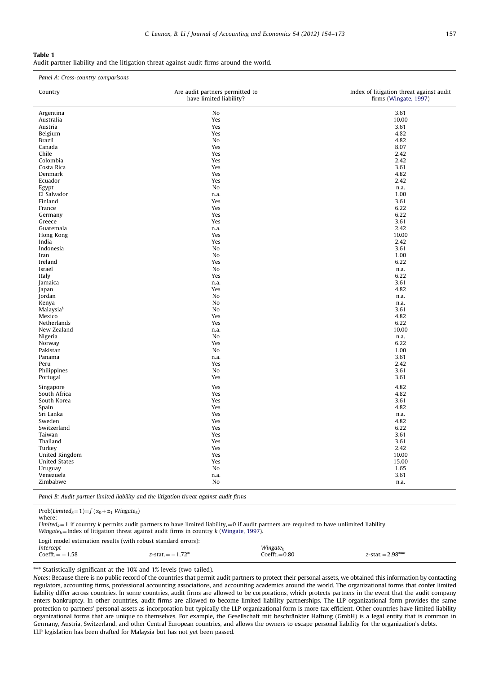<span id="page-3-0"></span>Audit partner liability and the litigation threat against audit firms around the world.

| Panel A: Cross-country comparisons |                                                            |                                                                   |  |  |  |
|------------------------------------|------------------------------------------------------------|-------------------------------------------------------------------|--|--|--|
| Country                            | Are audit partners permitted to<br>have limited liability? | Index of litigation threat against audit<br>firms (Wingate, 1997) |  |  |  |
| Argentina                          | No                                                         | 3.61                                                              |  |  |  |
| Australia                          | Yes                                                        | 10.00                                                             |  |  |  |
| Austria                            | Yes                                                        | 3.61                                                              |  |  |  |
| Belgium                            | Yes                                                        | 4.82                                                              |  |  |  |
| Brazil                             | No                                                         | 4.82                                                              |  |  |  |
| Canada                             | Yes                                                        | 8.07                                                              |  |  |  |
| Chile                              | Yes                                                        | 2.42                                                              |  |  |  |
| Colombia                           | Yes                                                        | 2.42                                                              |  |  |  |
| Costa Rica                         | Yes                                                        | 3.61                                                              |  |  |  |
| Denmark                            | Yes                                                        | 4.82                                                              |  |  |  |
| Ecuador                            | Yes                                                        | 2.42                                                              |  |  |  |
| Egypt                              | No                                                         | n.a.                                                              |  |  |  |
| El Salvador                        | n.a.                                                       | 1.00                                                              |  |  |  |
| Finland                            | Yes                                                        | 3.61                                                              |  |  |  |
| France                             | Yes                                                        | 6.22                                                              |  |  |  |
| Germany                            | Yes                                                        | 6.22                                                              |  |  |  |
| Greece                             | Yes                                                        | 3.61                                                              |  |  |  |
| Guatemala                          | n.a.                                                       | 2.42                                                              |  |  |  |
| Hong Kong                          | Yes                                                        | 10.00                                                             |  |  |  |
| India                              | Yes                                                        | 2.42                                                              |  |  |  |
| Indonesia                          | No                                                         | 3.61                                                              |  |  |  |
| Iran                               | No                                                         | 1.00                                                              |  |  |  |
| Ireland                            | Yes                                                        | 6.22                                                              |  |  |  |
| Israel                             | No                                                         | n.a.                                                              |  |  |  |
| Italy                              | Yes                                                        | 6.22                                                              |  |  |  |
| Jamaica                            | n.a.                                                       | 3.61                                                              |  |  |  |
| Japan                              | Yes                                                        | 4.82                                                              |  |  |  |
| Jordan                             | No                                                         | n.a.                                                              |  |  |  |
| Kenya                              | No                                                         | n.a.                                                              |  |  |  |
| Malaysia <sup>§</sup>              | No                                                         | 3.61                                                              |  |  |  |
| Mexico                             | Yes                                                        | 4.82                                                              |  |  |  |
| Netherlands                        | Yes                                                        | 6.22                                                              |  |  |  |
| New Zealand                        | n.a.                                                       | 10.00                                                             |  |  |  |
| Nigeria                            | No                                                         | n.a.                                                              |  |  |  |
|                                    | Yes                                                        | 6.22                                                              |  |  |  |
| Norway<br>Pakistan                 | No                                                         | 1.00                                                              |  |  |  |
| Panama                             |                                                            | 3.61                                                              |  |  |  |
| Peru                               | n.a.<br>Yes                                                | 2.42                                                              |  |  |  |
|                                    | No                                                         | 3.61                                                              |  |  |  |
| Philippines<br>Portugal            | Yes                                                        | 3.61                                                              |  |  |  |
|                                    |                                                            |                                                                   |  |  |  |
| Singapore                          | Yes                                                        | 4.82                                                              |  |  |  |
| South Africa                       | Yes                                                        | 4.82                                                              |  |  |  |
| South Korea                        | Yes                                                        | 3.61                                                              |  |  |  |
| Spain                              | Yes                                                        | 4.82                                                              |  |  |  |
| Sri Lanka                          | Yes                                                        | n.a.                                                              |  |  |  |
| Sweden                             | Yes                                                        | 4.82                                                              |  |  |  |
| Switzerland                        | Yes                                                        | 6.22                                                              |  |  |  |
| Taiwan                             | Yes                                                        | 3.61                                                              |  |  |  |
| Thailand                           | Yes                                                        | 3.61                                                              |  |  |  |
| Turkey                             | Yes                                                        | 2.42                                                              |  |  |  |
| United Kingdom                     | Yes                                                        | 10.00                                                             |  |  |  |
| <b>United States</b>               | Yes                                                        | 15.00                                                             |  |  |  |
| Uruguay                            | No                                                         | 1.65                                                              |  |  |  |
| Venezuela                          | n.a.                                                       | 3.61                                                              |  |  |  |
| Zimbabwe                           | No                                                         | n.a.                                                              |  |  |  |
|                                    |                                                            |                                                                   |  |  |  |

Panel B: Audit partner limited liability and the litigation threat against audit firms

Prob(Limited<sub>k</sub>=1)= $f$ ( $\alpha_0 + \alpha_1$  Wingate<sub>k</sub>)

where:

Limited<sub>k</sub> = 1 if country k permits audit partners to have limited liability, = 0 if audit partners are required to have unlimited liability.

Wingate<sub>k</sub>=Index of litigation threat against audit firms in country k [\(Wingate, 1997\)](#page-19-0).

Logit model estimation results (with robust standard errors):

| Intercept                 |                                      | Wingate $_k$  |                        |
|---------------------------|--------------------------------------|---------------|------------------------|
| $Coeff. = -$<br>1.58<br>- | ワつ水<br>$z$ -stat. $=$ -<br>-<br>1.72 | $CoeffL=0.80$ | $z$ -stat. $=$ 2.98*** |
|                           |                                      |               |                        |

\*\*\* Statistically significant at the 10% and 1% levels (two-tailed).

Notes: Because there is no public record of the countries that permit audit partners to protect their personal assets, we obtained this information by contacting regulators, accounting firms, professional accounting associations, and accounting academics around the world. The organizational forms that confer limited liability differ across countries. In some countries, audit firms are allowed to be corporations, which protects partners in the event that the audit company enters bankruptcy. In other countries, audit firms are allowed to become limited liability partnerships. The LLP organizational form provides the same protection to partners' personal assets as incorporation but typically the LLP organizational form is more tax efficient. Other countries have limited liability organizational forms that are unique to themselves. For example, the Gesellschaft mit beschrankter Haftung (GmbH) is a legal entity that is common in ¨ Germany, Austria, Switzerland, and other Central European countries, and allows the owners to escape personal liability for the organization's debts. LLP legislation has been drafted for Malaysia but has not yet been passed.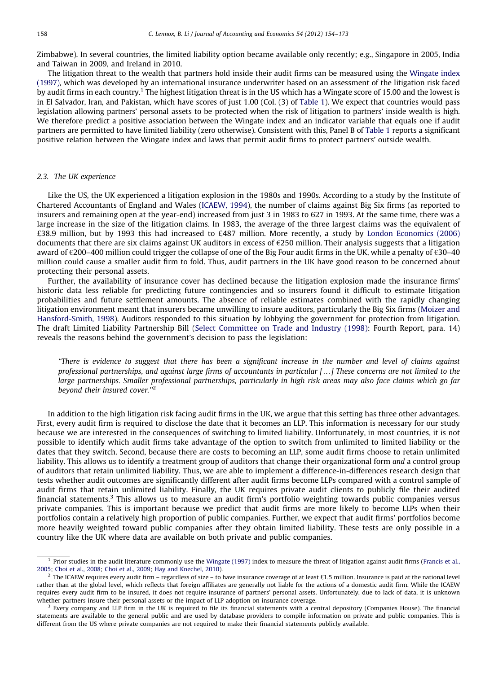Zimbabwe). In several countries, the limited liability option became available only recently; e.g., Singapore in 2005, India and Taiwan in 2009, and Ireland in 2010.

The litigation threat to the wealth that partners hold inside their audit firms can be measured using the [Wingate index](#page-19-0) [\(1997\),](#page-19-0) which was developed by an international insurance underwriter based on an assessment of the litigation risk faced by audit firms in each country.<sup>1</sup> The highest litigation threat is in the US which has a Wingate score of 15.00 and the lowest is in El Salvador, Iran, and Pakistan, which have scores of just 1.00 (Col. (3) of [Table 1](#page-3-0)). We expect that countries would pass legislation allowing partners' personal assets to be protected when the risk of litigation to partners' inside wealth is high. We therefore predict a positive association between the Wingate index and an indicator variable that equals one if audit partners are permitted to have limited liability (zero otherwise). Consistent with this, Panel B of [Table 1](#page-3-0) reports a significant positive relation between the Wingate index and laws that permit audit firms to protect partners' outside wealth.

#### 2.3. The UK experience

Like the US, the UK experienced a litigation explosion in the 1980s and 1990s. According to a study by the Institute of Chartered Accountants of England and Wales [\(ICAEW, 1994\)](#page-19-0), the number of claims against Big Six firms (as reported to insurers and remaining open at the year-end) increased from just 3 in 1983 to 627 in 1993. At the same time, there was a large increase in the size of the litigation claims. In 1983, the average of the three largest claims was the equivalent of £38.9 million, but by 1993 this had increased to £487 million. More recently, a study by [London Economics \(2006\)](#page-19-0) documents that there are six claims against UK auditors in excess of  $\epsilon$ 250 million. Their analysis suggests that a litigation award of  $\epsilon$ 200–400 million could trigger the collapse of one of the Big Four audit firms in the UK, while a penalty of  $\epsilon$ 30–40 million could cause a smaller audit firm to fold. Thus, audit partners in the UK have good reason to be concerned about protecting their personal assets.

Further, the availability of insurance cover has declined because the litigation explosion made the insurance firms' historic data less reliable for predicting future contingencies and so insurers found it difficult to estimate litigation probabilities and future settlement amounts. The absence of reliable estimates combined with the rapidly changing litigation environment meant that insurers became unwilling to insure auditors, particularly the Big Six firms ([Moizer and](#page-19-0) [Hansford-Smith, 1998](#page-19-0)). Auditors responded to this situation by lobbying the government for protection from litigation. The draft Limited Liability Partnership Bill [\(Select Committee on Trade and Industry \(1998\)](#page-19-0): Fourth Report, para. 14) reveals the reasons behind the government's decision to pass the legislation:

''There is evidence to suggest that there has been a significant increase in the number and level of claims against professional partnerships, and against large firms of accountants in particular [...] These concerns are not limited to the large partnerships. Smaller professional partnerships, particularly in high risk areas may also face claims which go far beyond their insured cover.''<sup>2</sup>

In addition to the high litigation risk facing audit firms in the UK, we argue that this setting has three other advantages. First, every audit firm is required to disclose the date that it becomes an LLP. This information is necessary for our study because we are interested in the consequences of switching to limited liability. Unfortunately, in most countries, it is not possible to identify which audit firms take advantage of the option to switch from unlimited to limited liability or the dates that they switch. Second, because there are costs to becoming an LLP, some audit firms choose to retain unlimited liability. This allows us to identify a treatment group of auditors that change their organizational form and a control group of auditors that retain unlimited liability. Thus, we are able to implement a difference-in-differences research design that tests whether audit outcomes are significantly different after audit firms become LLPs compared with a control sample of audit firms that retain unlimited liability. Finally, the UK requires private audit clients to publicly file their audited financial statements.<sup>3</sup> This allows us to measure an audit firm's portfolio weighting towards public companies versus private companies. This is important because we predict that audit firms are more likely to become LLPs when their portfolios contain a relatively high proportion of public companies. Further, we expect that audit firms' portfolios become more heavily weighted toward public companies after they obtain limited liability. These tests are only possible in a country like the UK where data are available on both private and public companies.

<sup>&</sup>lt;sup>1</sup> Prior studies in the audit literature commonly use the [Wingate \(1997\)](#page-19-0) index to measure the threat of litigation against audit firms ([Francis et al.,](#page-19-0) [2005](#page-19-0); [Choi et al., 2008](#page-19-0); [Choi et al., 2009;](#page-19-0) [Hay and Knechel, 2010\)](#page-19-0).

 $^2$  The ICAEW requires every audit firm – regardless of size – to have insurance coverage of at least £1.5 million. Insurance is paid at the national level rather than at the global level, which reflects that foreign affiliates are generally not liable for the actions of a domestic audit firm. While the ICAEW requires every audit firm to be insured, it does not require insurance of partners' personal assets. Unfortunately, due to lack of data, it is unknown whether partners insure their personal assets or the impact of LLP adoption on insurance coverage.

 $3$  Every company and LLP firm in the UK is required to file its financial statements with a central depository (Companies House). The financial statements are available to the general public and are used by database providers to compile information on private and public companies. This is different from the US where private companies are not required to make their financial statements publicly available.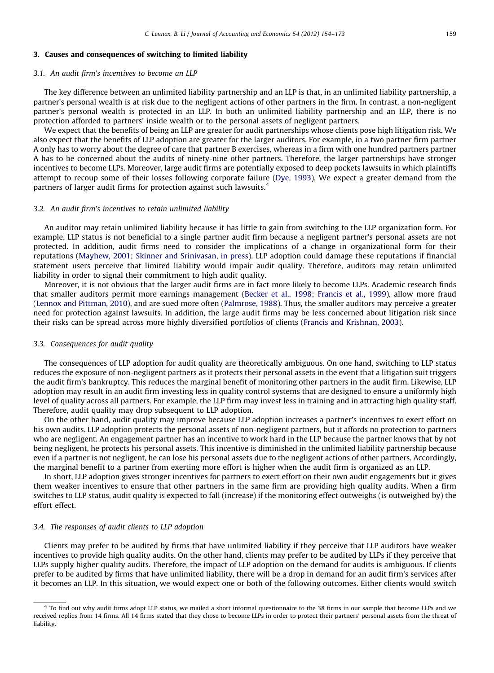## <span id="page-5-0"></span>3. Causes and consequences of switching to limited liability

#### 3.1. An audit firm's incentives to become an LLP

The key difference between an unlimited liability partnership and an LLP is that, in an unlimited liability partnership, a partner's personal wealth is at risk due to the negligent actions of other partners in the firm. In contrast, a non-negligent partner's personal wealth is protected in an LLP. In both an unlimited liability partnership and an LLP, there is no protection afforded to partners' inside wealth or to the personal assets of negligent partners.

We expect that the benefits of being an LLP are greater for audit partnerships whose clients pose high litigation risk. We also expect that the benefits of LLP adoption are greater for the larger auditors. For example, in a two partner firm partner A only has to worry about the degree of care that partner B exercises, whereas in a firm with one hundred partners partner A has to be concerned about the audits of ninety-nine other partners. Therefore, the larger partnerships have stronger incentives to become LLPs. Moreover, large audit firms are potentially exposed to deep pockets lawsuits in which plaintiffs attempt to recoup some of their losses following corporate failure ([Dye, 1993](#page-19-0)). We expect a greater demand from the partners of larger audit firms for protection against such lawsuits.<sup>4</sup>

## 3.2. An audit firm's incentives to retain unlimited liability

An auditor may retain unlimited liability because it has little to gain from switching to the LLP organization form. For example, LLP status is not beneficial to a single partner audit firm because a negligent partner's personal assets are not protected. In addition, audit firms need to consider the implications of a change in organizational form for their reputations ([Mayhew, 2001;](#page-19-0) [Skinner and Srinivasan, in press\)](#page-19-0). LLP adoption could damage these reputations if financial statement users perceive that limited liability would impair audit quality. Therefore, auditors may retain unlimited liability in order to signal their commitment to high audit quality.

Moreover, it is not obvious that the larger audit firms are in fact more likely to become LLPs. Academic research finds that smaller auditors permit more earnings management ([Becker et al., 1998;](#page-18-0) [Francis et al., 1999\)](#page-19-0), allow more fraud ([Lennox and Pittman, 2010](#page-19-0)), and are sued more often [\(Palmrose, 1988\)](#page-19-0). Thus, the smaller auditors may perceive a greater need for protection against lawsuits. In addition, the large audit firms may be less concerned about litigation risk since their risks can be spread across more highly diversified portfolios of clients ([Francis and Krishnan, 2003\)](#page-19-0).

### 3.3. Consequences for audit quality

The consequences of LLP adoption for audit quality are theoretically ambiguous. On one hand, switching to LLP status reduces the exposure of non-negligent partners as it protects their personal assets in the event that a litigation suit triggers the audit firm's bankruptcy. This reduces the marginal benefit of monitoring other partners in the audit firm. Likewise, LLP adoption may result in an audit firm investing less in quality control systems that are designed to ensure a uniformly high level of quality across all partners. For example, the LLP firm may invest less in training and in attracting high quality staff. Therefore, audit quality may drop subsequent to LLP adoption.

On the other hand, audit quality may improve because LLP adoption increases a partner's incentives to exert effort on his own audits. LLP adoption protects the personal assets of non-negligent partners, but it affords no protection to partners who are negligent. An engagement partner has an incentive to work hard in the LLP because the partner knows that by not being negligent, he protects his personal assets. This incentive is diminished in the unlimited liability partnership because even if a partner is not negligent, he can lose his personal assets due to the negligent actions of other partners. Accordingly, the marginal benefit to a partner from exerting more effort is higher when the audit firm is organized as an LLP.

In short, LLP adoption gives stronger incentives for partners to exert effort on their own audit engagements but it gives them weaker incentives to ensure that other partners in the same firm are providing high quality audits. When a firm switches to LLP status, audit quality is expected to fall (increase) if the monitoring effect outweighs (is outweighed by) the effort effect.

## 3.4. The responses of audit clients to LLP adoption

Clients may prefer to be audited by firms that have unlimited liability if they perceive that LLP auditors have weaker incentives to provide high quality audits. On the other hand, clients may prefer to be audited by LLPs if they perceive that LLPs supply higher quality audits. Therefore, the impact of LLP adoption on the demand for audits is ambiguous. If clients prefer to be audited by firms that have unlimited liability, there will be a drop in demand for an audit firm's services after it becomes an LLP. In this situation, we would expect one or both of the following outcomes. Either clients would switch

<sup>&</sup>lt;sup>4</sup> To find out why audit firms adopt LLP status, we mailed a short informal questionnaire to the 38 firms in our sample that become LLPs and we received replies from 14 firms. All 14 firms stated that they chose to become LLPs in order to protect their partners' personal assets from the threat of liability.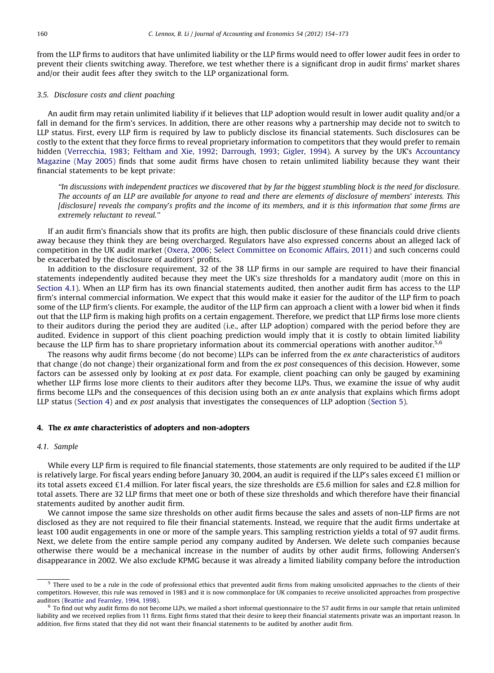<span id="page-6-0"></span>from the LLP firms to auditors that have unlimited liability or the LLP firms would need to offer lower audit fees in order to prevent their clients switching away. Therefore, we test whether there is a significant drop in audit firms' market shares and/or their audit fees after they switch to the LLP organizational form.

## 3.5. Disclosure costs and client poaching

An audit firm may retain unlimited liability if it believes that LLP adoption would result in lower audit quality and/or a fall in demand for the firm's services. In addition, there are other reasons why a partnership may decide not to switch to LLP status. First, every LLP firm is required by law to publicly disclose its financial statements. Such disclosures can be costly to the extent that they force firms to reveal proprietary information to competitors that they would prefer to remain hidden [\(Verrecchia, 1983](#page-19-0); [Feltham and Xie, 1992](#page-19-0); [Darrough, 1993](#page-19-0); [Gigler, 1994](#page-19-0)). A survey by the UK's [Accountancy](#page-18-0) [Magazine \(May 2005\)](#page-18-0) finds that some audit firms have chosen to retain unlimited liability because they want their financial statements to be kept private:

''In discussions with independent practices we discovered that by far the biggest stumbling block is the need for disclosure. The accounts of an LLP are available for anyone to read and there are elements of disclosure of members' interests. This [disclosure] reveals the company's profits and the income of its members, and it is this information that some firms are extremely reluctant to reveal.''

If an audit firm's financials show that its profits are high, then public disclosure of these financials could drive clients away because they think they are being overcharged. Regulators have also expressed concerns about an alleged lack of competition in the UK audit market [\(Oxera, 2006;](#page-19-0) [Select Committee on Economic Affairs, 2011\)](#page-19-0) and such concerns could be exacerbated by the disclosure of auditors' profits.

In addition to the disclosure requirement, 32 of the 38 LLP firms in our sample are required to have their financial statements independently audited because they meet the UK's size thresholds for a mandatory audit (more on this in Section 4.1). When an LLP firm has its own financial statements audited, then another audit firm has access to the LLP firm's internal commercial information. We expect that this would make it easier for the auditor of the LLP firm to poach some of the LLP firm's clients. For example, the auditor of the LLP firm can approach a client with a lower bid when it finds out that the LLP firm is making high profits on a certain engagement. Therefore, we predict that LLP firms lose more clients to their auditors during the period they are audited (i.e., after LLP adoption) compared with the period before they are audited. Evidence in support of this client poaching prediction would imply that it is costly to obtain limited liability because the LLP firm has to share proprietary information about its commercial operations with another auditor.<sup>5,6</sup>

The reasons why audit firms become (do not become) LLPs can be inferred from the ex ante characteristics of auditors that change (do not change) their organizational form and from the ex post consequences of this decision. However, some factors can be assessed only by looking at ex post data. For example, client poaching can only be gauged by examining whether LLP firms lose more clients to their auditors after they become LLPs. Thus, we examine the issue of why audit firms become LLPs and the consequences of this decision using both an ex ante analysis that explains which firms adopt LLP status (Section 4) and ex post analysis that investigates the consequences of LLP adoption [\(Section 5\)](#page-9-0).

## 4. The ex ante characteristics of adopters and non-adopters

## 4.1. Sample

While every LLP firm is required to file financial statements, those statements are only required to be audited if the LLP is relatively large. For fiscal years ending before January 30, 2004, an audit is required if the LLP's sales exceed £1 million or its total assets exceed £1.4 million. For later fiscal years, the size thresholds are £5.6 million for sales and £2.8 million for total assets. There are 32 LLP firms that meet one or both of these size thresholds and which therefore have their financial statements audited by another audit firm.

We cannot impose the same size thresholds on other audit firms because the sales and assets of non-LLP firms are not disclosed as they are not required to file their financial statements. Instead, we require that the audit firms undertake at least 100 audit engagements in one or more of the sample years. This sampling restriction yields a total of 97 audit firms. Next, we delete from the entire sample period any company audited by Andersen. We delete such companies because otherwise there would be a mechanical increase in the number of audits by other audit firms, following Andersen's disappearance in 2002. We also exclude KPMG because it was already a limited liability company before the introduction

<sup>&</sup>lt;sup>5</sup> There used to be a rule in the code of professional ethics that prevented audit firms from making unsolicited approaches to the clients of their competitors. However, this rule was removed in 1983 and it is now commonplace for UK companies to receive unsolicited approaches from prospective auditors ([Beattie and Fearnley, 1994](#page-18-0), [1998\)](#page-18-0).

 $6$  To find out why audit firms do not become LLPs, we mailed a short informal questionnaire to the 57 audit firms in our sample that retain unlimited liability and we received replies from 11 firms. Eight firms stated that their desire to keep their financial statements private was an important reason. In addition, five firms stated that they did not want their financial statements to be audited by another audit firm.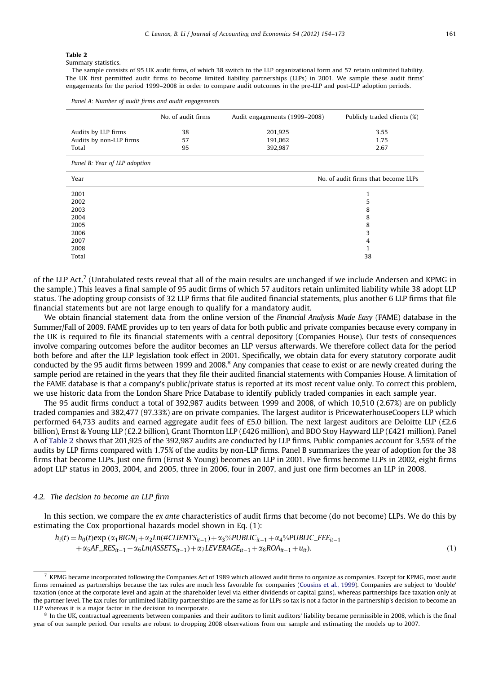Summary statistics.

The sample consists of 95 UK audit firms, of which 38 switch to the LLP organizational form and 57 retain unlimited liability. The UK first permitted audit firms to become limited liability partnerships (LLPs) in 2001. We sample these audit firms' engagements for the period 1999–2008 in order to compare audit outcomes in the pre-LLP and post-LLP adoption periods.

| Panel A: Number of audit firms and audit engagements |                    |                               |                                     |  |  |  |
|------------------------------------------------------|--------------------|-------------------------------|-------------------------------------|--|--|--|
|                                                      | No. of audit firms | Audit engagements (1999-2008) | Publicly traded clients (%)         |  |  |  |
| Audits by LLP firms                                  | 38                 | 201,925                       | 3.55                                |  |  |  |
| Audits by non-LLP firms                              | 57                 | 191,062                       | 1.75                                |  |  |  |
| Total                                                | 95                 | 392,987                       | 2.67                                |  |  |  |
| Panel B: Year of LLP adoption                        |                    |                               |                                     |  |  |  |
| Year                                                 |                    |                               | No. of audit firms that become LLPs |  |  |  |
| 2001                                                 |                    |                               |                                     |  |  |  |
| 2002                                                 |                    |                               | 5                                   |  |  |  |
| 2003                                                 |                    |                               | 8                                   |  |  |  |
| 2004                                                 |                    |                               | 8                                   |  |  |  |
| 2005                                                 |                    |                               | 8                                   |  |  |  |
| 2006                                                 |                    |                               | 3                                   |  |  |  |
| 2007                                                 |                    |                               | 4                                   |  |  |  |
| 2008                                                 |                    |                               |                                     |  |  |  |
| Total                                                |                    |                               | 38                                  |  |  |  |

of the LLP Act.<sup>7</sup> (Untabulated tests reveal that all of the main results are unchanged if we include Andersen and KPMG in the sample.) This leaves a final sample of 95 audit firms of which 57 auditors retain unlimited liability while 38 adopt LLP status. The adopting group consists of 32 LLP firms that file audited financial statements, plus another 6 LLP firms that file financial statements but are not large enough to qualify for a mandatory audit.

We obtain financial statement data from the online version of the Financial Analysis Made Easy (FAME) database in the Summer/Fall of 2009. FAME provides up to ten years of data for both public and private companies because every company in the UK is required to file its financial statements with a central depository (Companies House). Our tests of consequences involve comparing outcomes before the auditor becomes an LLP versus afterwards. We therefore collect data for the period both before and after the LLP legislation took effect in 2001. Specifically, we obtain data for every statutory corporate audit conducted by the 95 audit firms between 1999 and 2008.<sup>8</sup> Any companies that cease to exist or are newly created during the sample period are retained in the years that they file their audited financial statements with Companies House. A limitation of the FAME database is that a company's public/private status is reported at its most recent value only. To correct this problem, we use historic data from the London Share Price Database to identify publicly traded companies in each sample year.

The 95 audit firms conduct a total of 392,987 audits between 1999 and 2008, of which 10,510 (2.67%) are on publicly traded companies and 382,477 (97.33%) are on private companies. The largest auditor is PricewaterhouseCoopers LLP which performed 64,733 audits and earned aggregate audit fees of £5.0 billion. The next largest auditors are Deloitte LLP (£2.6 billion), Ernst & Young LLP (£2.2 billion), Grant Thornton LLP (£426 million), and BDO Stoy Hayward LLP (£421 million). Panel A of Table 2 shows that 201,925 of the 392,987 audits are conducted by LLP firms. Public companies account for 3.55% of the audits by LLP firms compared with 1.75% of the audits by non-LLP firms. Panel B summarizes the year of adoption for the 38 firms that become LLPs. Just one firm (Ernst & Young) becomes an LLP in 2001. Five firms become LLPs in 2002, eight firms adopt LLP status in 2003, 2004, and 2005, three in 2006, four in 2007, and just one firm becomes an LLP in 2008.

### 4.2. The decision to become an LLP firm

In this section, we compare the ex ante characteristics of audit firms that become (do not become) LLPs. We do this by estimating the Cox proportional hazards model shown in Eq. (1):

$$
h_i(t) = h_0(t) \exp (\alpha_1 B I G N_i + \alpha_2 L n ( \# CLI ENT S_{it-1}) + \alpha_3 \% P U B L I C_{it-1} + \alpha_4 \% P U B L I C_{i} F E E_{it-1} + \alpha_5 AF_{i} R E S_{it-1} + \alpha_6 L n (AS SET S_{it-1}) + \alpha_7 L EVERAGE_{it-1} + \alpha_8 R O A_{it-1} + u_{it}).
$$
\n(1)

 $<sup>7</sup>$  KPMG became incorporated following the Companies Act of 1989 which allowed audit firms to organize as companies. Except for KPMG, most audit</sup> firms remained as partnerships because the tax rules are much less favorable for companies ([Cousins et al., 1999](#page-19-0)). Companies are subject to 'double' taxation (once at the corporate level and again at the shareholder level via either dividends or capital gains), whereas partnerships face taxation only at the partner level. The tax rules for unlimited liability partnerships are the same as for LLPs so tax is not a factor in the partnership's decision to become an LLP whereas it is a major factor in the decision to incorporate.

<sup>&</sup>lt;sup>8</sup> In the UK, contractual agreements between companies and their auditors to limit auditors' liability became permissible in 2008, which is the final year of our sample period. Our results are robust to dropping 2008 observations from our sample and estimating the models up to 2007.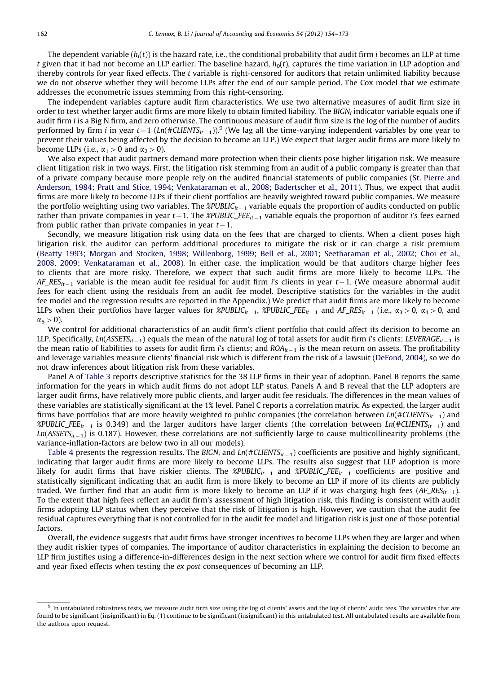The dependent variable  $(h_i(t))$  is the hazard rate, i.e., the conditional probability that audit firm *i* becomes an LLP at time t given that it had not become an LLP earlier. The baseline hazard,  $h_0(t)$ , captures the time variation in LLP adoption and thereby controls for year fixed effects. The t variable is right-censored for auditors that retain unlimited liability because we do not observe whether they will become LLPs after the end of our sample period. The Cox model that we estimate addresses the econometric issues stemming from this right-censoring.

The independent variables capture audit firm characteristics. We use two alternative measures of audit firm size in order to test whether larger audit firms are more likely to obtain limited liability. The BIGN<sub>i</sub> indicator variable equals one if audit firm i is a Big N firm, and zero otherwise. The continuous measure of audit firm size is the log of the number of audits performed by firm i in year t–1 (Ln(#CLIENTS<sub>it–1</sub>)).<sup>9</sup> (We lag all the time-varying independent variables by one year to prevent their values being affected by the decision to become an LLP.) We expect that larger audit firms are more likely to become LLPs (i.e.,  $\alpha_1 > 0$  and  $\alpha_2 > 0$ ).

We also expect that audit partners demand more protection when their clients pose higher litigation risk. We measure client litigation risk in two ways. First, the litigation risk stemming from an audit of a public company is greater than that of a private company because more people rely on the audited financial statements of public companies ([St. Pierre and](#page-19-0) [Anderson, 1984](#page-19-0); [Pratt and Stice, 1994;](#page-19-0) [Venkataraman et al., 2008;](#page-19-0) [Badertscher et al., 2011\)](#page-18-0). Thus, we expect that audit firms are more likely to become LLPs if their client portfolios are heavily weighted toward public companies. We measure the portfolio weighting using two variables. The *%PUBLIC<sub>it –*1</sub> variable equals the proportion of audits conducted on public rather than private companies in year t—1. The %PUBLIC\_FEE $_{it-1}$  variable equals the proportion of auditor i's fees earned from public rather than private companies in year  $t-1$ .

Secondly, we measure litigation risk using data on the fees that are charged to clients. When a client poses high litigation risk, the auditor can perform additional procedures to mitigate the risk or it can charge a risk premium ([Beatty 1993;](#page-18-0) [Morgan and Stocken, 1998](#page-19-0); [Willenborg, 1999](#page-19-0); [Bell et al., 2001;](#page-18-0) [Seetharaman et al., 2002;](#page-19-0) [Choi et al.,](#page-19-0) [2008,](#page-19-0) [2009](#page-19-0); [Venkataraman et al., 2008](#page-19-0)). In either case, the implication would be that auditors charge higher fees to clients that are more risky. Therefore, we expect that such audit firms are more likely to become LLPs. The AF\_RES $_{it-1}$  variable is the mean audit fee residual for audit firm i's clients in year  $t-1.$  (We measure abnormal audit fees for each client using the residuals from an audit fee model. Descriptive statistics for the variables in the audit fee model and the regression results are reported in the Appendix.) We predict that audit firms are more likely to become LLPs when their portfolios have larger values for *%PUBLIC*<sub>it-1</sub>, *%PUBLIC\_FEE*<sub>it-1</sub> and  $AF\_RES_{it-1}$  (i.e.,  $\alpha_3 > 0$ ,  $\alpha_4 > 0$ , and  $\alpha_5$  > 0).

We control for additional characteristics of an audit firm's client portfolio that could affect its decision to become an LLP. Specifically, Ln(ASSETS $_{it-1}$ ) equals the mean of the natural log of total assets for audit firm i's clients; LEVERAGE $_{it-1}$  is the mean ratio of liabilities to assets for audit firm i's clients; and ROA $_{it-1}$  is the mean return on assets. The profitability and leverage variables measure clients' financial risk which is different from the risk of a lawsuit ([DeFond, 2004](#page-19-0)), so we do not draw inferences about litigation risk from these variables.

Panel A of [Table 3](#page-9-0) reports descriptive statistics for the 38 LLP firms in their year of adoption. Panel B reports the same information for the years in which audit firms do not adopt LLP status. Panels A and B reveal that the LLP adopters are larger audit firms, have relatively more public clients, and larger audit fee residuals. The differences in the mean values of these variables are statistically significant at the 1% level. Panel C reports a correlation matrix. As expected, the larger audit firms have portfolios that are more heavily weighted to public companies (the correlation between  $\textit{Ln}(\#\textit{CLIENTS}_{it-1})$  and %PUBLIC\_FEE $_{it-1}$  is 0.349) and the larger auditors have larger clients (the correlation between Ln(#CLIENTS $_{it-1}$ ) and Ln(ASSETS $_{it-1}$ ) is 0.187). However, these correlations are not sufficiently large to cause multicollinearity problems (the variance-inflation-factors are below two in all our models).

[Table 4](#page-10-0) presents the regression results. The BIGN<sub>i</sub> and Ln(#CLIENTS<sub>it $-1$ </sub>) coefficients are positive and highly significant, indicating that larger audit firms are more likely to become LLPs. The results also suggest that LLP adoption is more likely for audit firms that have riskier clients. The %PUBLIC<sub>it–1</sub> and %PUBLIC\_FEE<sub>it–1</sub> coefficients are positive and statistically significant indicating that an audit firm is more likely to become an LLP if more of its clients are publicly traded. We further find that an audit firm is more likely to become an LLP if it was charging high fees  $(AF\_RES_{it-1})$ . To the extent that high fees reflect an audit firm's assessment of high litigation risk, this finding is consistent with audit firms adopting LLP status when they perceive that the risk of litigation is high. However, we caution that the audit fee residual captures everything that is not controlled for in the audit fee model and litigation risk is just one of those potential factors.

Overall, the evidence suggests that audit firms have stronger incentives to become LLPs when they are larger and when they audit riskier types of companies. The importance of auditor characteristics in explaining the decision to become an LLP firm justifies using a difference-in-differences design in the next section where we control for audit firm fixed effects and year fixed effects when testing the ex post consequences of becoming an LLP.

 $9$  In untabulated robustness tests, we measure audit firm size using the log of clients' assets and the log of clients' audit fees. The variables that are found to be significant (insignificant) in Eq. (1) continue to be significant (insignificant) in this untabulated test. All untabulated results are available from the authors upon request.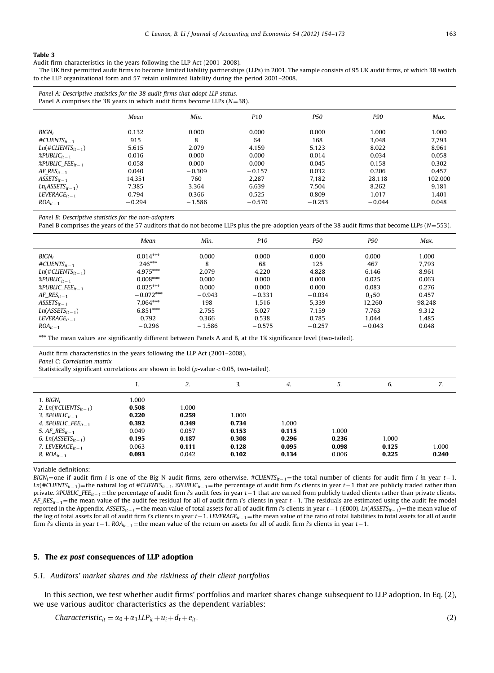<span id="page-9-0"></span>Audit firm characteristics in the years following the LLP Act (2001–2008).

The UK first permitted audit firms to become limited liability partnerships (LLPs) in 2001. The sample consists of 95 UK audit firms, of which 38 switch to the LLP organizational form and 57 retain unlimited liability during the period 2001–2008.

Panel A comprises the 38 years in which audit firms become LLPs ( $N=38$ ).

|                                                          | Mean                  | Min.                | P10                  | P50                   | P90                     | Max.                    |
|----------------------------------------------------------|-----------------------|---------------------|----------------------|-----------------------|-------------------------|-------------------------|
| $BIGN_i$<br>$\#CLIENTS_{it-1}$<br>$Ln(\#CLIENTS_{it-1})$ | 0.132<br>915<br>5.615 | 0.000<br>8<br>2.079 | 0.000<br>64<br>4.159 | 0.000<br>168<br>5.123 | 1.000<br>3.048<br>8.022 | 1.000<br>7.793<br>8.961 |
| %PUBLIC $_{it-1}$                                        | 0.016                 | 0.000               | 0.000                | 0.014                 | 0.034                   | 0.058                   |
| %PUBLIC_FEE $_{it-1}$<br>AF $RES_{it-1}$                 | 0.058<br>0.040        | 0.000<br>$-0.309$   | 0.000<br>$-0.157$    | 0.045<br>0.032        | 0.158<br>0.206          | 0.302<br>0.457          |
| $ASSETS_{it-1}$                                          | 14.351                | 760                 | 2.287                | 7.182                 | 28.118                  | 102.000                 |
| $LniASSETSit-1$ )                                        | 7.385                 | 3.364               | 6.639                | 7.504                 | 8.262                   | 9.181                   |
| $LEVERAGE_{it-1}$<br>$ROA_{it-1}$                        | 0.794<br>$-0.294$     | 0.366<br>$-1.586$   | 0.525<br>$-0.570$    | 0.809<br>$-0.253$     | 1.017<br>$-0.044$       | 1.401<br>0.048          |

Panel B: Descriptive statistics for the non-adopters

Panel B comprises the years of the 57 auditors that do not become LLPs plus the pre-adoption years of the 38 audit firms that become LLPs (N=553).

|                                  | Mean        | Min.     | P <sub>10</sub> | P50      | P90      | Max.   |
|----------------------------------|-------------|----------|-----------------|----------|----------|--------|
| $BIGN_i$                         | $0.014***$  | 0.000    | 0.000           | 0.000    | 0.000    | 1.000  |
| $\#CLIENTS_{it-1}$               | $246***$    | 8        | 68              | 125      | 467      | 7.793  |
| $Ln(\#CLIENTS_{it-1})$           | 4.975***    | 2.079    | 4.220           | 4.828    | 6.146    | 8.961  |
| $\chi$ PUBLIC <sub>it</sub> $-1$ | $0.008***$  | 0.000    | 0.000           | 0.000    | 0.025    | 0.063  |
| %PUBLIC_FEE $_{it-1}$            | $0.025***$  | 0.000    | 0.000           | 0.000    | 0.083    | 0.276  |
| AF $RES_{it-1}$                  | $-0.072***$ | $-0.943$ | $-0.331$        | $-0.034$ | 0,50     | 0.457  |
| $ASSETS_{it-1}$                  | $7.064***$  | 198      | 1.516           | 5.339    | 12.260   | 98.248 |
| $Ln(ASSETS_{it-1})$              | $6.851***$  | 2.755    | 5.027           | 7.159    | 7.763    | 9.312  |
| $LEVERAGE_{it-1}$                | 0.792       | 0.366    | 0.538           | 0.785    | 1.044    | 1.485  |
| $ROA_{it-1}$                     | $-0.296$    | $-1.586$ | $-0.575$        | $-0.257$ | $-0.043$ | 0.048  |

 $***$  The mean values are significantly different between Panels A and B, at the 1% significance level (two-tailed).

Audit firm characteristics in the years following the LLP Act (2001–2008). Panel C: Correlation matrix

Statistically significant correlations are shown in bold ( $p$ -value < 0.05, two-tailed).

|                                                                                                                                                                                                                                 | 1.                                                                   | 2.                                                          | 3.                                                 | 4.                                        | 5.                               | 6.                      | 7.             |
|---------------------------------------------------------------------------------------------------------------------------------------------------------------------------------------------------------------------------------|----------------------------------------------------------------------|-------------------------------------------------------------|----------------------------------------------------|-------------------------------------------|----------------------------------|-------------------------|----------------|
| $1.~BIGN_i$<br>2. $Ln(\#CLIENTS_{it-1})$<br>3. $\mathcal{Z}$ PUBLIC <sub>it-1</sub><br>4. $\mathcal{E}$ PUBLIC_FEE <sub>it-1</sub><br>5. $AF\_RES_{it-1}$<br>6. $Ln(ASSETS_{it-1})$<br>7. LEVERAGE $_{it-1}$<br>8. $ROA_{it-1}$ | 1.000<br>0.508<br>0.220<br>0.392<br>0.049<br>0.195<br>0.063<br>0.093 | 1.000<br>0.259<br>0.349<br>0.057<br>0.187<br>0.111<br>0.042 | 1.000<br>0.734<br>0.153<br>0.308<br>0.128<br>0.102 | 1.000<br>0.115<br>0.296<br>0.095<br>0.134 | 1.000<br>0.236<br>0.098<br>0.006 | 1.000<br>0.125<br>0.225 | 1.000<br>0.240 |

Variable definitions:

BIGN $_{i}=$ one if audit firm  $i$  is one of the Big N audit firms, zero otherwise. #CLIENTS $_{it-1}=$ the total number of clients for audit firm  $i$  in year  $t-1$ . Ln(#CLIENTS<sub>it–1</sub>)=the natural log of #CLIENTS<sub>it–1</sub>. %PUBLIC<sub>it–1</sub>=the percentage of audit firm i's clients in year t–1 that are publicly traded rather than private. %PUBLIC\_FEE $_{it-1}=$ the percentage of audit firm i's audit fees in year  $t-1$  that are earned from publicly traded clients rather than private clients. AF\_RES $_{it-1}$ =the mean value of the audit fee residual for all of audit firm i's clients in year  $t-1.$  The residuals are estimated using the audit fee model reported in the Appendix. ASSETS $_{it-1}=$ the mean value of total assets for all of audit firm i's clients in year  $t$  – 1 (£000). Ln(ASSETS $_{it-1})$  = the mean value of the log of total assets for all of audit firm i's clients in year  $t-1.$  LEVERAGE $_{it-1}=$  the mean value of the ratio of total liabilities to total assets for all of audit firm i's clients in year t $-1$ . ROA $_{it-1}=$ the mean value of the return on assets for all of audit firm i's clients in year t $-1$ .

## 5. The ex post consequences of LLP adoption

## 5.1. Auditors' market shares and the riskiness of their client portfolios

In this section, we test whether audit firms' portfolios and market shares change subsequent to LLP adoption. In Eq. (2), we use various auditor characteristics as the dependent variables:

Characteristic<sub>it</sub> =  $\alpha_0 + \alpha_1 L L P_{it} + u_i + d_t + e_{it}$ . (2)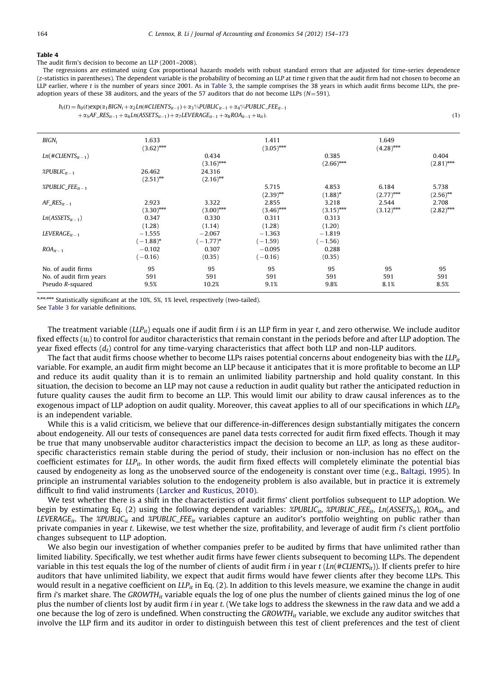<span id="page-10-0"></span>The audit firm's decision to become an LLP (2001–2008).

The regressions are estimated using Cox proportional hazards models with robust standard errors that are adjusted for time-series dependence (z-statistics in parentheses). The dependent variable is the probability of becoming an LLP at time t given that the audit firm had not chosen to become an LLP earlier, where t is the number of years since 2001. As in [Table 3](#page-9-0), the sample comprises the 38 years in which audit firms become LLPs, the preadoption years of these 38 auditors, and the years of the 57 auditors that do not become LLPs ( $N=591$ ).

```
h_i(t) = h_0(t) \exp(\alpha_1 BIGN_i + \alpha_2 Ln(\#CLIENTS_{it-1}) + \alpha_3\% PUBLIC_{it-1} + \alpha_4\% PUBLIC\_FEE_{it-1})+\alpha_5 AF\_RES_{it-1} + \alpha_6 Ln(ASSETS_{it-1}) + \alpha_7 LEVERAGE_{it-1} + \alpha_8 ROA_{it-1}1 + u_{it}). (1)
```

| $BIGN_i$                                                          | 1.633<br>$(3.62)$ ***   |                         | 1.411<br>$(3.05)$ *** |                                  | 1.649<br>$(4.28)$ *** |                       |
|-------------------------------------------------------------------|-------------------------|-------------------------|-----------------------|----------------------------------|-----------------------|-----------------------|
| $Ln(\#CLIENTS_{it-1})$                                            |                         | 0.434<br>$(3.16)$ ***   |                       | 0.385<br>$(2.66)$ ***            |                       | 0.404<br>$(2.81)$ *** |
| %PUBLIC $_{it-1}$                                                 | 26.462<br>$(2.51)$ **   | 24.316<br>$(2.16)$ **   |                       |                                  |                       |                       |
| %PUBLIC $FEE_{it-1}$                                              |                         |                         | 5.715<br>$(2.39)$ **  | 4.853<br>$(1.88)^*$              | 6.184<br>$(2.77)$ *** | 5.738<br>$(2.56)$ **  |
| AF $RES_{it-1}$                                                   | 2.923<br>$(3.30)$ ***   | 3.322<br>$(3.00)$ ***   | 2.855<br>$(3.46)$ *** | 3.218<br>$(3.15)$ <sup>***</sup> | 2.544<br>$(3.12)$ *** | 2.708<br>$(2.82)$ *** |
| $Ln(ASSETS_{it-1})$                                               | 0.347<br>(1.28)         | 0.330<br>(1.14)         | 0.311<br>(1.28)       | 0.313<br>(1.20)                  |                       |                       |
| $LEVERAGE_{it-1}$                                                 | $-1.555$<br>$(-1.88)^*$ | $-2.067$<br>$(-1.77)^*$ | $-1.363$<br>$(-1.59)$ | $-1.819$<br>$-1.56$ )            |                       |                       |
| $ROA_{it-1}$                                                      | $-0.102$<br>$(-0.16)$   | 0.307<br>(0.35)         | $-0.095$<br>$(-0.16)$ | 0.288<br>(0.35)                  |                       |                       |
| No. of audit firms<br>No. of audit firm years<br>Pseudo R-squared | 95<br>591<br>9.5%       | 95<br>591<br>10.2%      | 95<br>591<br>9.1%     | 95<br>591<br>9.8%                | 95<br>591<br>8.1%     | 95<br>591<br>8.5%     |

\*\*\*\*\*\*\*\*\*\* Statistically significant at the 10%, 5%, 1% level, respectively (two-tailed).

See [Table 3](#page-9-0) for variable definitions.

The treatment variable (LLP<sub>it</sub>) equals one if audit firm i is an LLP firm in year t, and zero otherwise. We include auditor fixed effects  $(u_i)$  to control for auditor characteristics that remain constant in the periods before and after LLP adoption. The year fixed effects  $(d_t)$  control for any time-varying characteristics that affect both LLP and non-LLP auditors.

The fact that audit firms choose whether to become LLPs raises potential concerns about endogeneity bias with the  $LLP_{it}$ variable. For example, an audit firm might become an LLP because it anticipates that it is more profitable to become an LLP and reduce its audit quality than it is to remain an unlimited liability partnership and hold quality constant. In this situation, the decision to become an LLP may not cause a reduction in audit quality but rather the anticipated reduction in future quality causes the audit firm to become an LLP. This would limit our ability to draw causal inferences as to the exogenous impact of LLP adoption on audit quality. Moreover, this caveat applies to all of our specifications in which  $LLP_{it}$ is an independent variable.

While this is a valid criticism, we believe that our difference-in-differences design substantially mitigates the concern about endogeneity. All our tests of consequences are panel data tests corrected for audit firm fixed effects. Though it may be true that many unobservable auditor characteristics impact the decision to become an LLP, as long as these auditorspecific characteristics remain stable during the period of study, their inclusion or non-inclusion has no effect on the coefficient estimates for  $LLP_{ir}$ . In other words, the audit firm fixed effects will completely eliminate the potential bias caused by endogeneity as long as the unobserved source of the endogeneity is constant over time (e.g., [Baltagi, 1995\)](#page-18-0). In principle an instrumental variables solution to the endogeneity problem is also available, but in practice it is extremely difficult to find valid instruments ([Larcker and Rusticus, 2010\)](#page-19-0).

We test whether there is a shift in the characteristics of audit firms' client portfolios subsequent to LLP adoption. We begin by estimating Eq. (2) using the following dependent variables:  $\mathcal{R}PUBLIC_{it}$ ,  $\mathcal{R}PUBLIC_{iF}E_{it}$ ,  $Ln(ASSETS_{it})$ ,  $ROA_{it}$ , and LEVERAGE<sub>it</sub>. The %PUBLIC<sub>it</sub> and %PUBLIC\_FEE<sub>it</sub> variables capture an auditor's portfolio weighting on public rather than private companies in year t. Likewise, we test whether the size, profitability, and leverage of audit firm i's client portfolio changes subsequent to LLP adoption.

We also begin our investigation of whether companies prefer to be audited by firms that have unlimited rather than limited liability. Specifically, we test whether audit firms have fewer clients subsequent to becoming LLPs. The dependent variable in this test equals the log of the number of clients of audit firm i in year  $t$  (Ln(#CLIENTS<sub>it</sub>)). If clients prefer to hire auditors that have unlimited liability, we expect that audit firms would have fewer clients after they become LLPs. This would result in a negative coefficient on  $LLP_{it}$  in Eq. (2). In addition to this levels measure, we examine the change in audit firm i's market share. The GROWTH $_{it}$  variable equals the log of one plus the number of clients gained minus the log of one plus the number of clients lost by audit firm i in year t. (We take logs to address the skewness in the raw data and we add a one because the log of zero is undefined. When constructing the GROWTH $_{it}$  variable, we exclude any auditor switches that involve the LLP firm and its auditor in order to distinguish between this test of client preferences and the test of client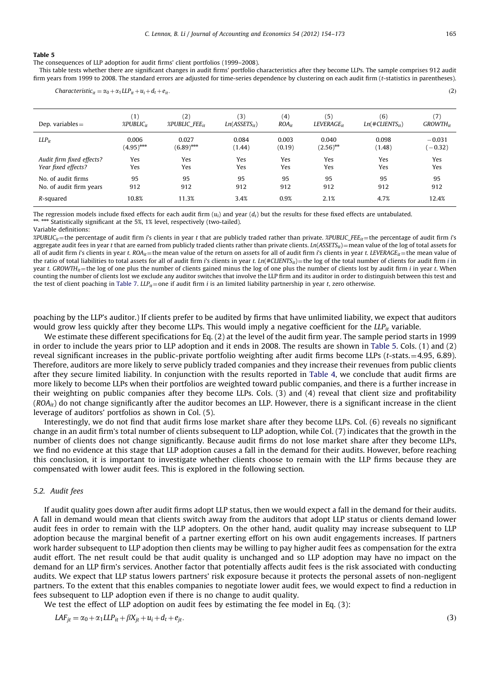<span id="page-11-0"></span>The consequences of LLP adoption for audit firms' client portfolios (1999–2008).

This table tests whether there are significant changes in audit firms' portfolio characteristics after they become LLPs. The sample comprises 912 audit firm years from 1999 to 2008. The standard errors are adjusted for time-series dependence by clustering on each audit firm (t-statistics in parentheses).

Characteristic<sub>it</sub> =  $\alpha_0 + \alpha_1 L L P_{it} + u_i + d_t + e_{it}$ . (2)

| Dep. variables $=$        | $\mathbf{1}$                       | (2)                     | (3)               | (4)        | (5)                    | (6)                  | (7)           |
|---------------------------|------------------------------------|-------------------------|-------------------|------------|------------------------|----------------------|---------------|
|                           | $\mathscr{L}$ PUBLIC <sub>it</sub> | $\%$ PUBLIC FEE $_{it}$ | $Ln(ASSETS_{it})$ | $ROA_{ir}$ | LEVERAGE <sub>it</sub> | $Ln(\#CLIENTS_{it})$ | $GROWTH_{ir}$ |
| $LLP_{it}$                | 0.006                              | 0.027                   | 0.084             | 0.003      | 0.040                  | 0.098                | $-0.031$      |
|                           | $(4.95)$ ***                       | $(6.89)$ ***            | (1.44)            | (0.19)     | $(2.56)$ **            | (1.48)               | $-0.32)$      |
| Audit firm fixed effects? | Yes                                | Yes                     | Yes               | Yes        | Yes                    | Yes                  | Yes           |
| Year fixed effects?       | Yes                                | Yes                     | Yes               | Yes        | Yes                    | Yes                  | Yes           |
| No. of audit firms        | 95                                 | 95                      | 95                | 95         | 95                     | 95                   | 95            |
| No. of audit firm years   | 912                                | 912                     | 912               | 912        | 912                    | 912                  | 912           |
| R-squared                 | 10.8%                              | 11.3%                   | 3.4%              | 0.9%       | 2.1%                   | 4.7%                 | 12.4%         |

The regression models include fixed effects for each audit firm  $(u_i)$  and year  $(d_t)$  but the results for these fixed effects are untabulated. \*\*, \*\*\* Statistically significant at the 5%, 1% level, respectively (two-tailed

Variable definitions:

 $\mathcal{R}PUBLC_{it}$  the percentage of audit firm i's clients in year t that are publicly traded rather than private.  $\mathcal{R}PUBLC_{i}FE_{it}$  the percentage of audit firm i's aggregate audit fees in year t that are earned from publicly traded clients rather than private clients. Ln(ASSETS<sub>it</sub>) = mean value of the log of total assets for all of audit firm i's clients in year t. ROA<sub>it</sub> = the mean value of the return on assets for all of audit firm i's clients in year t. LEVERAGE<sub>it</sub> = the mean value of the ratio of total liabilities to total assets for all of audit firm i's clients in year t. Ln(#CLIENTS<sub>it</sub>) = the log of the total number of clients for audit firm i in year t. GROWTH<sub>it</sub> = the log of one plus the number of clients gained minus the log of one plus the number of clients lost by audit firm i in year t. When counting the number of clients lost we exclude any auditor switches that involve the LLP firm and its auditor in order to distinguish between this test and the test of client poaching in [Table 7](#page-14-0).  $LLP_{it}$  = one if audit firm *i* is an limited liability partnership in year t, zero otherwise.

poaching by the LLP's auditor.) If clients prefer to be audited by firms that have unlimited liability, we expect that auditors would grow less quickly after they become LLPs. This would imply a negative coefficient for the  $LLP_{it}$  variable.

We estimate these different specifications for Eq. (2) at the level of the audit firm year. The sample period starts in 1999 in order to include the years prior to LLP adoption and it ends in 2008. The results are shown in Table 5. Cols. (1) and (2) reveal significant increases in the public-private portfolio weighting after audit firms become LLPs ( $t$ -stats. $=$ 4.95, 6.89). Therefore, auditors are more likely to serve publicly traded companies and they increase their revenues from public clients after they secure limited liability. In conjunction with the results reported in [Table 4,](#page-10-0) we conclude that audit firms are more likely to become LLPs when their portfolios are weighted toward public companies, and there is a further increase in their weighting on public companies after they become LLPs. Cols. (3) and (4) reveal that client size and profitability  $(ROA_{it})$  do not change significantly after the auditor becomes an LLP. However, there is a significant increase in the client leverage of auditors' portfolios as shown in Col. (5).

Interestingly, we do not find that audit firms lose market share after they become LLPs. Col. (6) reveals no significant change in an audit firm's total number of clients subsequent to LLP adoption, while Col. (7) indicates that the growth in the number of clients does not change significantly. Because audit firms do not lose market share after they become LLPs, we find no evidence at this stage that LLP adoption causes a fall in the demand for their audits. However, before reaching this conclusion, it is important to investigate whether clients choose to remain with the LLP firms because they are compensated with lower audit fees. This is explored in the following section.

## 5.2. Audit fees

If audit quality goes down after audit firms adopt LLP status, then we would expect a fall in the demand for their audits. A fall in demand would mean that clients switch away from the auditors that adopt LLP status or clients demand lower audit fees in order to remain with the LLP adopters. On the other hand, audit quality may increase subsequent to LLP adoption because the marginal benefit of a partner exerting effort on his own audit engagements increases. If partners work harder subsequent to LLP adoption then clients may be willing to pay higher audit fees as compensation for the extra audit effort. The net result could be that audit quality is unchanged and so LLP adoption may have no impact on the demand for an LLP firm's services. Another factor that potentially affects audit fees is the risk associated with conducting audits. We expect that LLP status lowers partners' risk exposure because it protects the personal assets of non-negligent partners. To the extent that this enables companies to negotiate lower audit fees, we would expect to find a reduction in fees subsequent to LLP adoption even if there is no change to audit quality.

We test the effect of LLP adoption on audit fees by estimating the fee model in Eq. (3):

 $LAF_{it} = \alpha_0 + \alpha_1 LLP_{it} + \beta X_{it} + u_i + d_t + e_{it}.$  (3)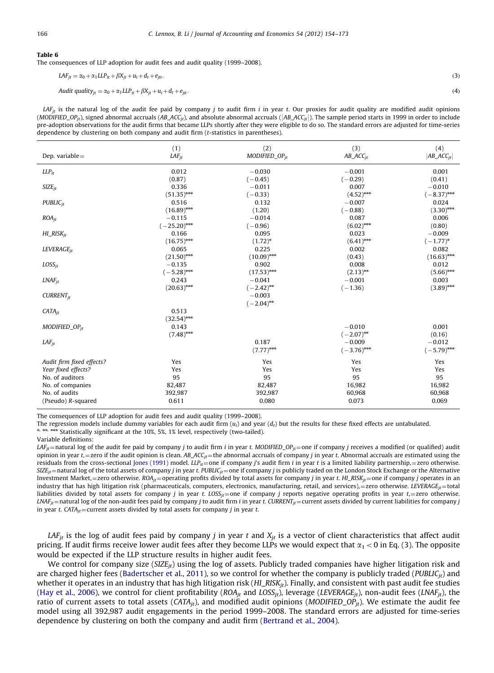<span id="page-12-0"></span>The consequences of LLP adoption for audit fees and audit quality (1999–2008).

 $LAF_{ij} = \alpha_0 + \alpha_1 LLP_{it} + \beta X_{it} + u_i + d_t + e_{ijt}$ . (3) Audit quality<sub>it</sub> =  $\alpha_0 + \alpha_1 L L P_{it} + \beta X_{jt} + u_i + d_t + e_{jit}$ . (4)

LAF<sub>it</sub> is the natural log of the audit fee paid by company *j* to audit firm *i* in year *t*. Our proxies for audit quality are modified audit opinions (MODIFIED\_OP<sub>it</sub>), signed abnormal accruals (AB\_ACC<sub>it</sub>), and absolute abnormal accruals (|AB\_ACC<sub>it</sub>|). The sample period starts in 1999 in order to include pre-adoption observations for the audit firms that became LLPs shortly after they were eligible to do so. The standard errors are adjusted for time-series dependence by clustering on both company and audit firm (t-statistics in parentheses).

| Dep. variable $=$         | (1)                    | (2)                      | (3)                       | (4)                       |
|---------------------------|------------------------|--------------------------|---------------------------|---------------------------|
|                           | $LAF_{it}$             | $MODIFIED_OP_{it}$       | $AB\_ACC_{it}$            | $ AB\_ACC_{it} $          |
| $LLP_{it}$                | 0.012                  | $-0.030$                 | $-0.001$                  | 0.001                     |
|                           | (0.87)                 | $(-0.45)$                | $(-0.29)$                 | (0.41)                    |
| $SIZE_{it}$               | 0.336                  | $-0.011$                 | 0.007                     | $-0.010$                  |
|                           | $(51.35)$ ***          | $(-0.33)$                | $(4.52)$ ***              | $(-8.37)$ ***             |
| $PUBLIC_{it}$             | 0.516                  | 0.132                    | $-0.007$                  | 0.024                     |
|                           | $(16.89)$ **           | (1.20)                   | $(-0.88)$                 | $(3.30)$ ***              |
| $ROA_{it}$                | $-0.115$               | $-0.014$                 | 0.087                     | 0.006                     |
|                           | $(-25.20)$ ***         | $(-0.96)$                | $(6.02)$ ***              | (0.80)                    |
| $HI\_RISK_{it}$           | 0.166                  | 0.095                    | 0.023                     | $-0.009$                  |
|                           | $(16.75)$ ***          | $(1.72)^*$               | $(6.41)$ ***              | $(-1.77)^*$               |
| LEVERAGE <sub>it</sub>    | 0.065                  | 0.225                    | 0.002                     | 0.082                     |
|                           | $(21.50)$ ***          | $(10.09)$ ***            | (0.43)                    | $(16.63)$ ***             |
| $LOSS_{it}$               | $-0.135$               | 0.902                    | 0.008                     | 0.012                     |
|                           | $(-5.28)$ **           | $(17.53)$ ***            | $(2.13)$ **               | $(5.66)$ ***              |
| $LNAF_{it}$               | 0.243                  | $-0.041$                 | $-0.001$                  | 0.003                     |
|                           | $(20.63)$ ***          | $(-2.42)$ **             | $(-1.36)$                 | $(3.89)$ ***              |
| $CURRENT_{it}$            |                        | $-0.003$<br>$(-2.04)$ ** |                           |                           |
| $CATA_{it}$               | 0.513<br>$(32.54)$ *** |                          |                           |                           |
| $MODIFIED_OP_{it}$        | 0.143<br>$(7.48)$ ***  |                          | $-0.010$<br>$(-2.07)$ **  | 0.001<br>(0.16)           |
| $LAF_{it}$                |                        | 0.187<br>$(7.77)$ ***    | $-0.009$<br>$(-3.76)$ *** | $-0.012$<br>$(-5.79)$ *** |
| Audit firm fixed effects? | Yes                    | Yes                      | Yes                       | Yes                       |
| Year fixed effects?       | Yes                    | Yes                      | Yes                       | Yes                       |
| No. of auditors           | 95                     | 95                       | 95                        | 95                        |
| No. of companies          | 82,487                 | 82,487                   | 16,982                    | 16,982                    |
| No. of audits             | 392,987                | 392,987                  | 60,968                    | 60,968                    |
| (Pseudo) R-squared        | 0.611                  | 0.080                    | 0.073                     | 0.069                     |

The consequences of LLP adoption for audit fees and audit quality (1999–2008).

The regression models include dummy variables for each audit firm  $(u_i)$  and year  $(d_t)$  but the results for these fixed effects are untabulated.<br>\*\*\*\*\*\*\*\* Statistically significant at the 10%, 5%, 1% level, respectively (tw

Variable definitions:

LAF<sub>jt</sub> = natural log of the audit fee paid by company j to audit firm i in year t. MODIFIED\_OP<sub>it</sub> = one if company j receives a modified (or qualified) audit opinion in year t, = zero if the audit opinion is clean.  $AB\_ACC_{it}$  = the abnormal accruals of company j in year t. Abnormal accruals are estimated using the residuals from the cross-sectional [Jones \(1991\)](#page-19-0) model.  $LLP_{it}$  = one if company j's audit firm i in year t is a limited liability partnership, = zero otherwise.  $S Z E_{it}$  natural log of the total assets of company j in year t. PUBLIC<sub>it</sub> = one if company j is publicly traded on the London Stock Exchange or the Alternative Investment Market, = zero otherwise.  $ROA_{jt}$  = operating profits divided by total assets for company j in year t. HI\_RISK $_{jt}$  = one if company j operates in an industry that has high litigation risk (pharmaceuticals, computers, electronics, manufacturing, retail, and services),=zero otherwise. LEVERAGE $_{it}$ =total liabilities divided by total assets for company j in year t. LOSS<sub>it</sub>=one if company j reports negative operating profits in year t,=zero otherwise.  $LMF_{it}$  = natural log of the non-audit fees paid by company j to audit firm i in year t. CURRENT<sub>it</sub> = current assets divided by current liabilities for company j in year t. CATA<sub>it</sub> = current assets divided by total assets for company *j* in year t.

LAF<sub>jt</sub> is the log of audit fees paid by company *j* in year t and  $X_{jt}$  is a vector of client characteristics that affect audit pricing. If audit firms receive lower audit fees after they become LLPs we would expect that  $\alpha_1 < 0$  in Eq. (3). The opposite would be expected if the LLP structure results in higher audit fees.

We control for company size (SIZE<sub>it</sub>) using the log of assets. Publicly traded companies have higher litigation risk and are charged higher fees [\(Badertscher et al., 2011\)](#page-18-0), so we control for whether the company is publicly traded ( $PUBLIC_{it}$ ) and whether it operates in an industry that has high litigation risk  $(Hl_RISK_{it})$ . Finally, and consistent with past audit fee studies ([Hay et al., 2006\)](#page-19-0), we control for client profitability ( $ROA_{it}$  and  $LOS_{it}$ ), leverage (LEVERAGE<sub>it</sub>), non-audit fees (LNAF<sub>it</sub>), the ratio of current assets to total assets ( $CATA_{it}$ ), and modified audit opinions (MODIFIED\_OP<sub>it</sub>). We estimate the audit fee model using all 392,987 audit engagements in the period 1999–2008. The standard errors are adjusted for time-series dependence by clustering on both the company and audit firm [\(Bertrand et al., 2004](#page-18-0)).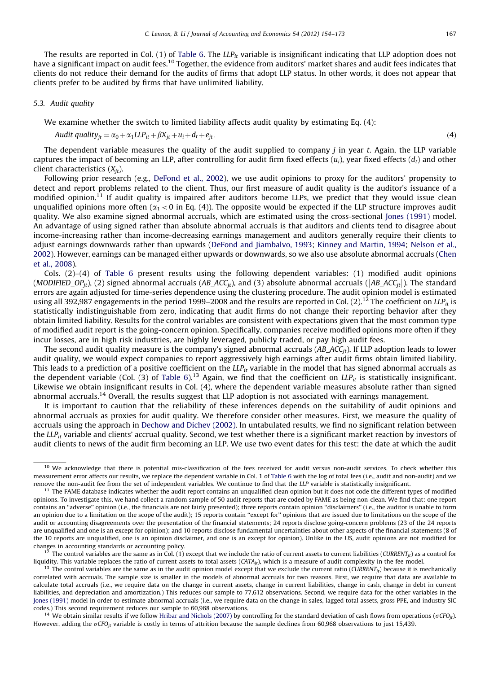The results are reported in Col. (1) of [Table 6](#page-12-0). The  $LLP_{it}$  variable is insignificant indicating that LLP adoption does not have a significant impact on audit fees.<sup>10</sup> Together, the evidence from auditors' market shares and audit fees indicates that clients do not reduce their demand for the audits of firms that adopt LLP status. In other words, it does not appear that clients prefer to be audited by firms that have unlimited liability.

#### 5.3. Audit quality

We examine whether the switch to limited liability affects audit quality by estimating Eq. (4):

$$
Audit\;quality_{jt} = \alpha_0 + \alpha_1 LLP_{it} + \beta X_{jt} + u_i + d_t + e_{jt}.
$$
\n<sup>(4)</sup>

The dependent variable measures the quality of the audit supplied to company  $j$  in year  $t$ . Again, the LLP variable captures the impact of becoming an LLP, after controlling for audit firm fixed effects  $(u_i)$ , year fixed effects  $(d_i)$  and other client characteristics  $(X_{it})$ .

Following prior research (e.g., [DeFond et al., 2002\)](#page-19-0), we use audit opinions to proxy for the auditors' propensity to detect and report problems related to the client. Thus, our first measure of audit quality is the auditor's issuance of a modified opinion.<sup>11</sup> If audit quality is impaired after auditors become LLPs, we predict that they would issue clean unqualified opinions more often  $(\alpha_1 < 0$  in Eq. (4)). The opposite would be expected if the LLP structure improves audit quality. We also examine signed abnormal accruals, which are estimated using the cross-sectional [Jones \(1991\)](#page-19-0) model. An advantage of using signed rather than absolute abnormal accruals is that auditors and clients tend to disagree about income-increasing rather than income-decreasing earnings management and auditors generally require their clients to adjust earnings downwards rather than upwards ([DeFond and Jiambalvo, 1993](#page-19-0); [Kinney and Martin, 1994;](#page-19-0) [Nelson et al.,](#page-19-0) [2002](#page-19-0)). However, earnings can be managed either upwards or downwards, so we also use absolute abnormal accruals ([Chen](#page-18-0) [et al., 2008\)](#page-18-0).

Cols. (2)–(4) of [Table 6](#page-12-0) present results using the following dependent variables: (1) modified audit opinions (MODIFIED\_OP<sub>it</sub>), (2) signed abnormal accruals ( $AB\_ACC_{it}$ ), and (3) absolute abnormal accruals ( $|AB\_ACC_{it}|$ ). The standard errors are again adjusted for time-series dependence using the clustering procedure. The audit opinion model is estimated using all 392,987 engagements in the period 1999–2008 and the results are reported in Col. (2).<sup>12</sup> The coefficient on LLP<sub>it</sub> is statistically indistinguishable from zero, indicating that audit firms do not change their reporting behavior after they obtain limited liability. Results for the control variables are consistent with expectations given that the most common type of modified audit report is the going-concern opinion. Specifically, companies receive modified opinions more often if they incur losses, are in high risk industries, are highly leveraged, publicly traded, or pay high audit fees.

The second audit quality measure is the company's signed abnormal accruals  $(AB\_ACC_{it})$ . If LLP adoption leads to lower audit quality, we would expect companies to report aggressively high earnings after audit firms obtain limited liability. This leads to a prediction of a positive coefficient on the  $LLP_{it}$  variable in the model that has signed abnormal accruals as the dependent variable (Col. (3) of [Table 6](#page-12-0)).<sup>13</sup> Again, we find that the coefficient on  $LLP_{it}$  is statistically insignificant. Likewise we obtain insignificant results in Col. (4), where the dependent variable measures absolute rather than signed abnormal accruals.14 Overall, the results suggest that LLP adoption is not associated with earnings management.

It is important to caution that the reliability of these inferences depends on the suitability of audit opinions and abnormal accruals as proxies for audit quality. We therefore consider other measures. First, we measure the quality of accruals using the approach in [Dechow and Dichev \(2002\).](#page-19-0) In untabulated results, we find no significant relation between the  $LLP_{it}$  variable and clients' accrual quality. Second, we test whether there is a significant market reaction by investors of audit clients to news of the audit firm becoming an LLP. We use two event dates for this test: the date at which the audit

<sup>12</sup> The control variables are the same as in Col. (1) except that we include the ratio of current assets to current liabilities (*CURRENT<sub>jt</sub>*) as a control for liquidity. This variable replaces the ratio of current asse

<sup>14</sup> We obtain similar results if we follow [Hribar and Nichols \(2007\)](#page-19-0) by controlling for the standard deviation of cash flows from operations ( $\sigma$ CFO<sub>it</sub>). However, adding the  $\sigma$ CFO<sub>it</sub> variable is costly in terms of attrition because the sample declines from 60,968 observations to just 15,439.

<sup>&</sup>lt;sup>10</sup> We acknowledge that there is potential mis-classification of the fees received for audit versus non-audit services. To check whether this measurement error affects our results, we replace the dependent variable in Col. 1 of [Table 6](#page-12-0) with the log of total fees (i.e., audit and non-audit) and we remove the non-audit fee from the set of independent variables. We continue to find that the LLP variable is statistically insignificant.

 $11$  The FAME database indicates whether the audit report contains an unqualified clean opinion but it does not code the different types of modified opinions. To investigate this, we hand collect a random sample of 50 audit reports that are coded by FAME as being non-clean. We find that: one report contains an ''adverse'' opinion (i.e., the financials are not fairly presented); three reports contain opinion ''disclaimers'' (i.e., the auditor is unable to form an opinion due to a limitation on the scope of the audit); 15 reports contain ''except for'' opinions that are issued due to limitations on the scope of the audit or accounting disagreements over the presentation of the financial statements; 24 reports disclose going-concern problems (23 of the 24 reports are unqualified and one is an except for opinion); and 10 reports disclose fundamental uncertainties about other aspects of the financial statements (8 of the 10 reports are unqualified, one is an opinion disclaimer, and one is an except for opinion). Unlike in the US, audit opinions are not modified for changes in accounting standards or accounting policy.

<sup>&</sup>lt;sup>13</sup> The control variables are the same as in the audit opinion model except that we exclude the current ratio (CURRENT<sub>It</sub>) because it is mechanically correlated with accruals. The sample size is smaller in the models of abnormal accruals for two reasons. First, we require that data are available to calculate total accruals (i.e., we require data on the change in current assets, change in current liabilities, change in cash, change in debt in current liabilities, and depreciation and amortization.) This reduces our sample to 77,612 observations. Second, we require data for the other variables in the [Jones \(1991\)](#page-19-0) model in order to estimate abnormal accruals (i.e., we require data on the change in sales, lagged total assets, gross PPE, and industry SIC codes.) This second requirement reduces our sample to 60,968 observations.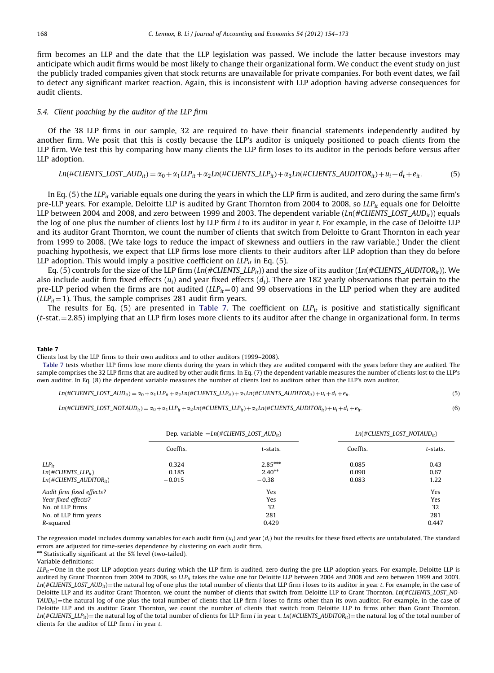<span id="page-14-0"></span>firm becomes an LLP and the date that the LLP legislation was passed. We include the latter because investors may anticipate which audit firms would be most likely to change their organizational form. We conduct the event study on just the publicly traded companies given that stock returns are unavailable for private companies. For both event dates, we fail to detect any significant market reaction. Again, this is inconsistent with LLP adoption having adverse consequences for audit clients.

#### 5.4. Client poaching by the auditor of the LLP firm

Of the 38 LLP firms in our sample, 32 are required to have their financial statements independently audited by another firm. We posit that this is costly because the LLP's auditor is uniquely positioned to poach clients from the LLP firm. We test this by comparing how many clients the LLP firm loses to its auditor in the periods before versus after LLP adoption.

Ln $(\#CLIENTS\_LOST\_AUD_{it}) = \alpha_0 + \alpha_1 LLP_{it} + \alpha_2 Ln(\#CLIENTS\_LLP_{it}) + \alpha_3 Ln(\#CLIENTS\_AUDITOR_{it}) + u_i + d_t + e_{it}.$  (5)

In Eq. (5) the LLP<sub>it</sub> variable equals one during the years in which the LLP firm is audited, and zero during the same firm's pre-LLP years. For example, Deloitte LLP is audited by Grant Thornton from 2004 to 2008, so  $LLP_i$  equals one for Deloitte LLP between 2004 and 2008, and zero between 1999 and 2003. The dependent variable (Ln(#CLIENTS\_LOST\_AUD<sub>it</sub>)) equals the log of one plus the number of clients lost by LLP firm *i* to its auditor in year *t*. For example, in the case of Deloitte LLP and its auditor Grant Thornton, we count the number of clients that switch from Deloitte to Grant Thornton in each year from 1999 to 2008. (We take logs to reduce the impact of skewness and outliers in the raw variable.) Under the client poaching hypothesis, we expect that LLP firms lose more clients to their auditors after LLP adoption than they do before LLP adoption. This would imply a positive coefficient on  $LLP_{it}$  in Eq. (5).

Eq. (5) controls for the size of the LLP firm  $(Ln(\#CLIENTS_LLP_{it}))$  and the size of its auditor  $(Ln(\#CLIENTS_LUDITOR_{it}))$ . We also include audit firm fixed effects  $(u_i)$  and year fixed effects  $(d_i)$ . There are 182 yearly observations that pertain to the pre-LLP period when the firms are not audited  $(LLP_{it}=0)$  and 99 observations in the LLP period when they are audited ( $LLP_{it}$ =1). Thus, the sample comprises 281 audit firm years.

The results for Eq. (5) are presented in Table 7. The coefficient on  $LLP_{it}$  is positive and statistically significant  $(t$ -stat. $=$  2.85) implying that an LLP firm loses more clients to its auditor after the change in organizational form. In terms

#### Table 7

Clients lost by the LLP firms to their own auditors and to other auditors (1999–2008).

Table 7 tests whether LLP firms lose more clients during the years in which they are audited compared with the years before they are audited. The sample comprises the 32 LLP firms that are audited by other audit firms. In Eq. (7) the dependent variable measures the number of clients lost to the LLP's own auditor. In Eq. (8) the dependent variable measures the number of clients lost to auditors other than the LLP's own auditor.

$$
Ln(\#CLIENTS\_LOST\_AUD_{it}) = \alpha_0 + \alpha_1 LLP_{it} + \alpha_2 Ln(\#CLIENTS\_LLP_{it}) + \alpha_3 Ln(\#CLIENTS\_AUDITOR_{it}) + u_i + d_t + e_{it}.
$$
\n
$$
(5)
$$

Ln $(HCLIENTS\_LOST\_NOTAUD_{it}) = \alpha_0 + \alpha_1 LLP_{it} + \alpha_2 Ln(HCLIENTS\_LLP_{it}) + \alpha_3 Ln(HCLIENTS\_AUDITOR_{it}) + u_i + d_t + e_{it}.$  (6)

|                                 |          | Dep. variable $=Ln(\#CLIENTS_LOST_AUD_{it})$ |          | $Ln(\#CLIENTS_LOST_NOTAUD_{it})$ |
|---------------------------------|----------|----------------------------------------------|----------|----------------------------------|
|                                 | Coeffts. | t-stats.                                     | Coeffts. | t-stats.                         |
| $LLP_{it}$                      | 0.324    | $2.85***$                                    | 0.085    | 0.43                             |
| $Ln(\#CLIENTS\_LLP_{it})$       | 0.185    | $2.40**$                                     | 0.090    | 0.67                             |
| $Ln(\#CLIENTS \; ADDITOR_{it})$ | $-0.015$ | $-0.38$                                      | 0.083    | 1.22                             |
| Audit firm fixed effects?       |          | Yes                                          |          | Yes                              |
| Year fixed effects?             |          | Yes                                          |          | Yes                              |
| No. of LLP firms                |          | 32                                           |          | 32                               |
| No. of LLP firm years           |          | 281                                          |          | 281                              |
| R-squared                       |          | 0.429                                        |          | 0.447                            |

The regression model includes dummy variables for each audit firm  $(u_i)$  and year  $(d_i)$  but the results for these fixed effects are untabulated. The standard errors are adjusted for time-series dependence by clustering on each audit firm.

\*\* Statistically significant at the 5% level (two-tailed).

Variable definitions:

 $LLP_{it}$ =One in the post-LLP adoption years during which the LLP firm is audited, zero during the pre-LLP adoption years. For example, Deloitte LLP is audited by Grant Thornton from 2004 to 2008, so  $LLP_{it}$  takes the value one for Deloitte LLP between 2004 and 2008 and zero between 1999 and 2003.  $Ln(\#CLIENTS_LOST\_AUD_{it})$  = the natural log of one plus the total number of clients that LLP firm i loses to its auditor in year t. For example, in the case of Deloitte LLP and its auditor Grant Thornton, we count the number of clients that switch from Deloitte LLP to Grant Thornton, *Ln*(#CLIENTS\_LOST\_NO- $TADD_{it}$ ) = the natural log of one plus the total number of clients that LLP firm i loses to firms other than its own auditor. For example, in the case of Deloitte LLP and its auditor Grant Thornton, we count the number of clients that switch from Deloitte LLP to firms other than Grant Thornton.  $Ln(\#CLIENTS_LLP_{it})$  = the natural log of the total number of clients for LLP firm *i* in year t. Ln(#CLIENTS\_AUDITOR<sub>it</sub>) = the natural log of the total number of clients for the auditor of LLP firm  $i$  in year  $t$ .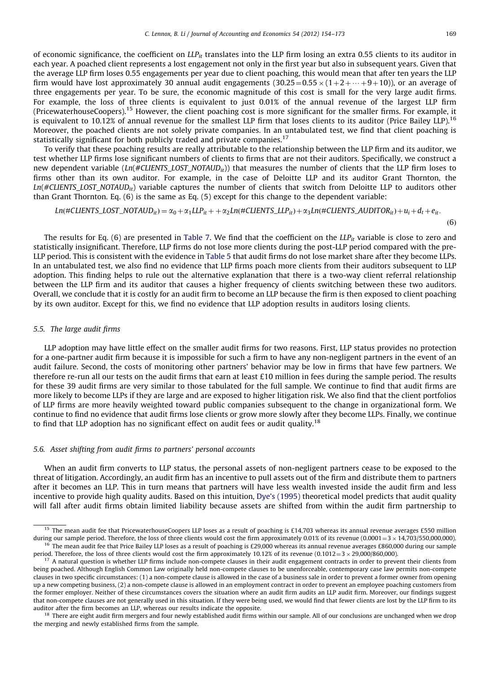$(6)$ 

of economic significance, the coefficient on  $LLP_{it}$  translates into the LLP firm losing an extra 0.55 clients to its auditor in each year. A poached client represents a lost engagement not only in the first year but also in subsequent years. Given that the average LLP firm loses 0.55 engagements per year due to client poaching, this would mean that after ten years the LLP firm would have lost approximately 30 annual audit engagements  $(30.25=0.55\times(1+2+\cdots+9+10))$ , or an average of three engagements per year. To be sure, the economic magnitude of this cost is small for the very large audit firms. For example, the loss of three clients is equivalent to just 0.01% of the annual revenue of the largest LLP firm (PricewaterhouseCoopers).<sup>15</sup> However, the client poaching cost is more significant for the smaller firms. For example, it is equivalent to 10.12% of annual revenue for the smallest LLP firm that loses clients to its auditor (Price Bailey LLP).<sup>16</sup> Moreover, the poached clients are not solely private companies. In an untabulated test, we find that client poaching is statistically significant for both publicly traded and private companies.<sup>17</sup>

To verify that these poaching results are really attributable to the relationship between the LLP firm and its auditor, we test whether LLP firms lose significant numbers of clients to firms that are not their auditors. Specifically, we construct a new dependent variable (Ln(#CLIENTS\_LOST\_NOTAUD<sub>it</sub>)) that measures the number of clients that the LLP firm loses to firms other than its own auditor. For example, in the case of Deloitte LLP and its auditor Grant Thornton, the  $Ln(\#CLIENTS$ <sub>LOST\_</sub>NOTAUD<sub>it</sub>) variable captures the number of clients that switch from Deloitte LLP to auditors other than Grant Thornton. Eq. (6) is the same as Eq. (5) except for this change to the dependent variable:

$$
Ln(\#CLIENTS\_LOST\_NOTAUD_{it}) = \alpha_0 + \alpha_1 LLP_{it} + + \alpha_2 Ln(\#CLIENTS\_LLP_{it}) + \alpha_3 Ln(\#CLIENTS\_AUDITIONTSAUDITOR_{it}) + u_i + d_t + e_{it}.
$$

The results for Eq. (6) are presented in [Table 7](#page-14-0). We find that the coefficient on the  $LLP_{it}$  variable is close to zero and statistically insignificant. Therefore, LLP firms do not lose more clients during the post-LLP period compared with the pre-LLP period. This is consistent with the evidence in [Table 5](#page-11-0) that audit firms do not lose market share after they become LLPs. In an untabulated test, we also find no evidence that LLP firms poach more clients from their auditors subsequent to LLP adoption. This finding helps to rule out the alternative explanation that there is a two-way client referral relationship between the LLP firm and its auditor that causes a higher frequency of clients switching between these two auditors. Overall, we conclude that it is costly for an audit firm to become an LLP because the firm is then exposed to client poaching by its own auditor. Except for this, we find no evidence that LLP adoption results in auditors losing clients.

#### 5.5. The large audit firms

LLP adoption may have little effect on the smaller audit firms for two reasons. First, LLP status provides no protection for a one-partner audit firm because it is impossible for such a firm to have any non-negligent partners in the event of an audit failure. Second, the costs of monitoring other partners' behavior may be low in firms that have few partners. We therefore re-run all our tests on the audit firms that earn at least £10 million in fees during the sample period. The results for these 39 audit firms are very similar to those tabulated for the full sample. We continue to find that audit firms are more likely to become LLPs if they are large and are exposed to higher litigation risk. We also find that the client portfolios of LLP firms are more heavily weighted toward public companies subsequent to the change in organizational form. We continue to find no evidence that audit firms lose clients or grow more slowly after they become LLPs. Finally, we continue to find that LLP adoption has no significant effect on audit fees or audit quality.<sup>18</sup>

## 5.6. Asset shifting from audit firms to partners' personal accounts

When an audit firm converts to LLP status, the personal assets of non-negligent partners cease to be exposed to the threat of litigation. Accordingly, an audit firm has an incentive to pull assets out of the firm and distribute them to partners after it becomes an LLP. This in turn means that partners will have less wealth invested inside the audit firm and less incentive to provide high quality audits. Based on this intuition, [Dye's \(1995\)](#page-19-0) theoretical model predicts that audit quality will fall after audit firms obtain limited liability because assets are shifted from within the audit firm partnership to

<sup>&</sup>lt;sup>15</sup> The mean audit fee that PricewaterhouseCoopers LLP loses as a result of poaching is £14,703 whereas its annual revenue averages £550 million during our sample period. Therefore, the loss of three clients would cost the firm approximately 0.01% of its revenue  $(0.0001 = 3 \times 14,703/550,000,000)$ .  $^{16}$  The mean audit fee that Price Bailey LLP loses as a result of poaching is £29,000 whereas its annual revenue averages £860,000 during our sample

period. Therefore, the loss of three clients would cost the firm approximately 10.12% of its revenue (0.1012 =  $3 \times 29,000/860,000$ ).  $17$  A natural question is whether LLP firms include non-compete clauses in their audit engagement contracts in order to prevent their clients from being poached. Although English Common Law originally held non-compete clauses to be unenforceable, contemporary case law permits non-compete clauses in two specific circumstances: (1) a non-compete clause is allowed in the case of a business sale in order to prevent a former owner from opening

up a new competing business, (2) a non-compete clause is allowed in an employment contract in order to prevent an employee poaching customers from the former employer. Neither of these circumstances covers the situation where an audit firm audits an LLP audit firm. Moreover, our findings suggest that non-compete clauses are not generally used in this situation. If they were being used, we would find that fewer clients are lost by the LLP firm to its auditor after the firm becomes an LLP, whereas our results indicate the opposite.

<sup>&</sup>lt;sup>18</sup> There are eight audit firm mergers and four newly established audit firms within our sample. All of our conclusions are unchanged when we drop the merging and newly established firms from the sample.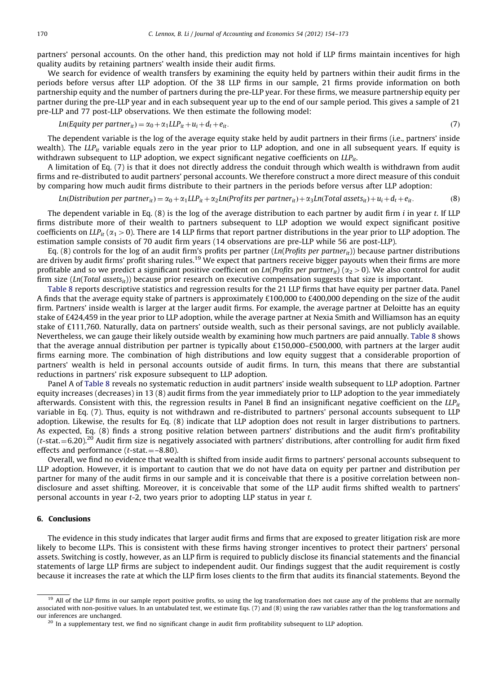<span id="page-16-0"></span>partners' personal accounts. On the other hand, this prediction may not hold if LLP firms maintain incentives for high quality audits by retaining partners' wealth inside their audit firms.

We search for evidence of wealth transfers by examining the equity held by partners within their audit firms in the periods before versus after LLP adoption. Of the 38 LLP firms in our sample, 21 firms provide information on both partnership equity and the number of partners during the pre-LLP year. For these firms, we measure partnership equity per partner during the pre-LLP year and in each subsequent year up to the end of our sample period. This gives a sample of 21 pre-LLP and 77 post-LLP observations. We then estimate the following model:

$$
Ln(Equity per partner_{it}) = \alpha_0 + \alpha_1 LLP_{it} + u_t + e_t + e_{it}.
$$
\n(7)

The dependent variable is the log of the average equity stake held by audit partners in their firms (i.e., partners' inside wealth). The LLP<sub>it</sub> variable equals zero in the year prior to LLP adoption, and one in all subsequent years. If equity is withdrawn subsequent to LLP adoption, we expect significant negative coefficients on  $LLP_{it}$ .

A limitation of Eq. (7) is that it does not directly address the conduit through which wealth is withdrawn from audit firms and re-distributed to audit partners' personal accounts. We therefore construct a more direct measure of this conduit by comparing how much audit firms distribute to their partners in the periods before versus after LLP adoption:

## Ln $(Distribution per partner_{it}) = \alpha_0 + \alpha_1 LLP_{it} + \alpha_2 Ln (Profits per partner_{it}) + \alpha_3 Ln (Total assets_{it}) + u_i + d_t + e_{it}.$  (8)

The dependent variable in Eq.  $(8)$  is the log of the average distribution to each partner by audit firm *i* in year *t*. If LLP firms distribute more of their wealth to partners subsequent to LLP adoption we would expect significant positive coefficients on LLP<sub>it</sub> ( $\alpha_1 > 0$ ). There are 14 LLP firms that report partner distributions in the year prior to LLP adoption. The estimation sample consists of 70 audit firm years (14 observations are pre-LLP while 56 are post-LLP).

Eq. (8) controls for the log of an audit firm's profits per partner (Ln(Profits per partner<sub>it</sub>)) because partner distributions are driven by audit firms' profit sharing rules.<sup>19</sup> We expect that partners receive bigger payouts when their firms are more profitable and so we predict a significant positive coefficient on Ln(Profits per partner<sub>it</sub>) ( $\alpha_2$  > 0). We also control for audit firm size (Ln(Total assets<sub>it</sub>)) because prior research on executive compensation suggests that size is important.

[Table 8](#page-17-0) reports descriptive statistics and regression results for the 21 LLP firms that have equity per partner data. Panel A finds that the average equity stake of partners is approximately £100,000 to £400,000 depending on the size of the audit firm. Partners' inside wealth is larger at the larger audit firms. For example, the average partner at Deloitte has an equity stake of £424,459 in the year prior to LLP adoption, while the average partner at Nexia Smith and Williamson has an equity stake of £111,760. Naturally, data on partners' outside wealth, such as their personal savings, are not publicly available. Nevertheless, we can gauge their likely outside wealth by examining how much partners are paid annually. [Table 8](#page-17-0) shows that the average annual distribution per partner is typically about £150,000–£500,000, with partners at the larger audit firms earning more. The combination of high distributions and low equity suggest that a considerable proportion of partners' wealth is held in personal accounts outside of audit firms. In turn, this means that there are substantial reductions in partners' risk exposure subsequent to LLP adoption.

Panel A of [Table 8](#page-17-0) reveals no systematic reduction in audit partners' inside wealth subsequent to LLP adoption. Partner equity increases (decreases) in 13 (8) audit firms from the year immediately prior to LLP adoption to the year immediately afterwards. Consistent with this, the regression results in Panel B find an insignificant negative coefficient on the  $LLP_{it}$ variable in Eq. (7). Thus, equity is not withdrawn and re-distributed to partners' personal accounts subsequent to LLP adoption. Likewise, the results for Eq. (8) indicate that LLP adoption does not result in larger distributions to partners. As expected, Eq. (8) finds a strong positive relation between partners' distributions and the audit firm's profitability  $(t$ -stat. $=6.20)$ <sup>20</sup> Audit firm size is negatively associated with partners' distributions, after controlling for audit firm fixed effects and performance ( $t$ -stat. $=$ –8.80).

Overall, we find no evidence that wealth is shifted from inside audit firms to partners' personal accounts subsequent to LLP adoption. However, it is important to caution that we do not have data on equity per partner and distribution per partner for many of the audit firms in our sample and it is conceivable that there is a positive correlation between nondisclosure and asset shifting. Moreover, it is conceivable that some of the LLP audit firms shifted wealth to partners' personal accounts in year t-2, two years prior to adopting LLP status in year t.

## 6. Conclusions

The evidence in this study indicates that larger audit firms and firms that are exposed to greater litigation risk are more likely to become LLPs. This is consistent with these firms having stronger incentives to protect their partners' personal assets. Switching is costly, however, as an LLP firm is required to publicly disclose its financial statements and the financial statements of large LLP firms are subject to independent audit. Our findings suggest that the audit requirement is costly because it increases the rate at which the LLP firm loses clients to the firm that audits its financial statements. Beyond the

<sup>&</sup>lt;sup>19</sup> All of the LLP firms in our sample report positive profits, so using the log transformation does not cause any of the problems that are normally associated with non-positive values. In an untabulated test, we estimate Eqs. (7) and (8) using the raw variables rather than the log transformations and our inferences are unchanged.

 $20$  In a supplementary test, we find no significant change in audit firm profitability subsequent to LLP adoption.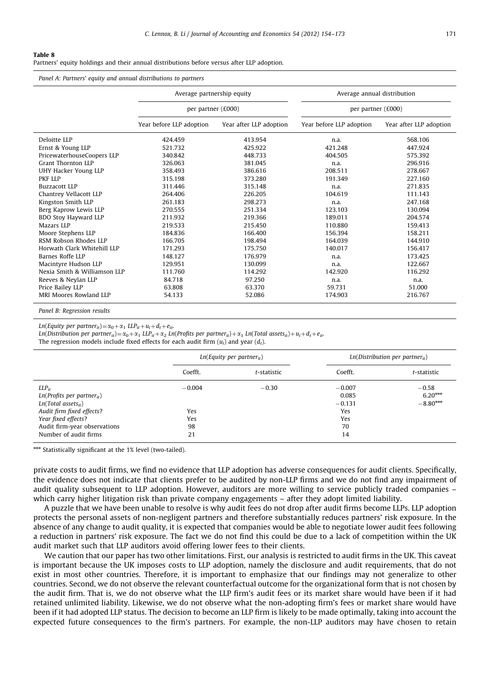<span id="page-17-0"></span>Partners' equity holdings and their annual distributions before versus after LLP adoption.

Panel A: Partners' equity and annual distributions to partners

|                              | Average partnership equity |                         | Average annual distribution |                         |  |
|------------------------------|----------------------------|-------------------------|-----------------------------|-------------------------|--|
|                              | per partner (£000)         |                         | per partner (£000)          |                         |  |
|                              | Year before LLP adoption   | Year after LLP adoption | Year before LLP adoption    | Year after LLP adoption |  |
| Deloitte LLP                 | 424.459                    | 413.954                 | n.a.                        | 568.106                 |  |
| Ernst & Young LLP            | 521.732                    | 425.922                 | 421.248                     | 447.924                 |  |
| PricewaterhouseCoopers LLP   | 340.842                    | 448.733                 | 404.505                     | 575.392                 |  |
| <b>Grant Thornton LLP</b>    | 326.063                    | 381.045                 | n.a.                        | 296.916                 |  |
| UHY Hacker Young LLP         | 358.493                    | 386.616                 | 208.511                     | 278.667                 |  |
| PKF LLP                      | 315.198                    | 373.280                 | 191.349                     | 227.160                 |  |
| Buzzacott I.I.P              | 311.446                    | 315.148                 | n.a.                        | 271.835                 |  |
| Chantrey Vellacott LLP       | 264.406                    | 226.205                 | 104.619                     | 111.143                 |  |
| Kingston Smith LLP           | 261.183                    | 298.273                 | n.a.                        | 247.168                 |  |
| Berg Kaprow Lewis LLP        | 270.555                    | 251.334                 | 123.103                     | 130.094                 |  |
| BDO Stoy Hayward LLP         | 211.932                    | 219.366                 | 189.011                     | 204.574                 |  |
| Mazars LLP                   | 219.533                    | 215.450                 | 110.880                     | 159.413                 |  |
| Moore Stephens LLP           | 184.836                    | 166.400                 | 156.394                     | 158.211                 |  |
| RSM Robson Rhodes LLP        | 166.705                    | 198.494                 | 164.039                     | 144.910                 |  |
| Horwath Clark Whitehill LLP  | 171.293                    | 175.750                 | 140.017                     | 156.417                 |  |
| Barnes Roffe LLP             | 148.127                    | 176.979                 | n.a.                        | 173.425                 |  |
| Macintyre Hudson LLP         | 129.951                    | 130.099                 | n.a.                        | 122.667                 |  |
| Nexia Smith & Williamson LLP | 111.760                    | 114.292                 | 142.920                     | 116.292                 |  |
| Reeves & Neylan LLP          | 84.718                     | 97.250                  | n.a.                        | n.a.                    |  |
| Price Bailey LLP             | 63.808                     | 63.370                  | 59.731                      | 51.000                  |  |
| MRI Moores Rowland LLP       | 54.133                     | 52.086                  | 174.903                     | 216.767                 |  |

Panel B: Regression results

Ln(Equity per partner<sub>it</sub>) =  $\alpha_0 + \alpha_1$  LLP<sub>it</sub> +  $u_i + d_t + e_{it}$ .

Ln(Distribution per partner<sub>it</sub>) =  $\alpha_0 + \alpha_1$  LLP<sub>it</sub> +  $\alpha_2$  Ln(Profits per partner<sub>it</sub>) +  $\alpha_3$  Ln(Total assets<sub>it</sub>) +  $u_i$  +  $d_t$  +  $e_{it}$ .

The regression models include fixed effects for each audit firm  $(u_i)$  and year  $(d_i)$ .

|                                                                                                                                                                                                | $Ln(Equity$ per partner <sub>it</sub> ) |             |                                                         | $Ln(Distribution per partner_{it})$ |  |
|------------------------------------------------------------------------------------------------------------------------------------------------------------------------------------------------|-----------------------------------------|-------------|---------------------------------------------------------|-------------------------------------|--|
|                                                                                                                                                                                                | Coefft.                                 | t-statistic | Coefft.                                                 | t-statistic                         |  |
| $LLP_{it}$<br>$Ln(Profits per partner_{it})$<br>$Ln(Total$ assets <sub>it</sub> )<br>Audit firm fixed effects?<br>Year fixed effects?<br>Audit firm-year observations<br>Number of audit firms | $-0.004$<br>Yes<br>Yes<br>98<br>21      | $-0.30$     | $-0.007$<br>0.085<br>$-0.131$<br>Yes<br>Yes<br>70<br>14 | $-0.58$<br>$6.20***$<br>$-8.80***$  |  |

\*\*\* Statistically significant at the 1% level (two-tailed).

private costs to audit firms, we find no evidence that LLP adoption has adverse consequences for audit clients. Specifically, the evidence does not indicate that clients prefer to be audited by non-LLP firms and we do not find any impairment of audit quality subsequent to LLP adoption. However, auditors are more willing to service publicly traded companies – which carry higher litigation risk than private company engagements – after they adopt limited liability.

A puzzle that we have been unable to resolve is why audit fees do not drop after audit firms become LLPs. LLP adoption protects the personal assets of non-negligent partners and therefore substantially reduces partners' risk exposure. In the absence of any change to audit quality, it is expected that companies would be able to negotiate lower audit fees following a reduction in partners' risk exposure. The fact we do not find this could be due to a lack of competition within the UK audit market such that LLP auditors avoid offering lower fees to their clients.

We caution that our paper has two other limitations. First, our analysis is restricted to audit firms in the UK. This caveat is important because the UK imposes costs to LLP adoption, namely the disclosure and audit requirements, that do not exist in most other countries. Therefore, it is important to emphasize that our findings may not generalize to other countries. Second, we do not observe the relevant counterfactual outcome for the organizational form that is not chosen by the audit firm. That is, we do not observe what the LLP firm's audit fees or its market share would have been if it had retained unlimited liability. Likewise, we do not observe what the non-adopting firm's fees or market share would have been if it had adopted LLP status. The decision to become an LLP firm is likely to be made optimally, taking into account the expected future consequences to the firm's partners. For example, the non-LLP auditors may have chosen to retain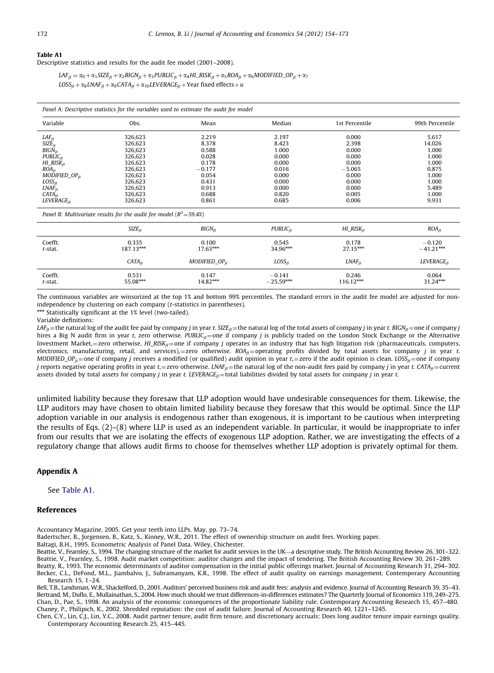#### <span id="page-18-0"></span>Table A1

Descriptive statistics and results for the audit fee model (2001–2008).

 $LAF_{it} = \alpha_0 + \alpha_1 SIZE_{it} + \alpha_2 BIGN_{it} + \alpha_3 PUBLIC_{it} + \alpha_4 HI\_RISK_{it} + \alpha_5 ROA_{it} + \alpha_6 MODIFIED\_OP_{it} + \alpha_7$  $LOSS_{it} + \alpha_8 LNAF_{it} + \alpha_9 CATA_{it} + \alpha_{10} LEVERAGE_{it}$  + Year fixed effects + u

| Panel A: Descriptive statistics for the variables used to estimate the audit fee model |                  |      |              |                |                 |  |
|----------------------------------------------------------------------------------------|------------------|------|--------------|----------------|-----------------|--|
| Variable                                                                               | Obs.             | Mean | Mediar.      | 1st Percentile | 99th Percentile |  |
| IAE.                                                                                   | $\sim$<br>276 A7 | 210  | $10^{\circ}$ | n nnr          | 5 61            |  |

| $\it{LAF}_{it}$                                                        | 326.623 | 2.219    | 2.197 | 0.000    | 5.617  |
|------------------------------------------------------------------------|---------|----------|-------|----------|--------|
| $SIZE_{it}$                                                            | 326,623 | 8.378    | 8.423 | 2.398    | 14.026 |
| $BIGN_{it}$                                                            | 326,623 | 0.588    | 1.000 | 0.000    | 1.000  |
| $PUBLIC_{it}$                                                          | 326,623 | 0.028    | 0.000 | 0.000    | 1.000  |
| $HI\_RISK_{it}$                                                        | 326,623 | 0.178    | 0.000 | 0.000    | 1.000  |
| $ROA_{it}$                                                             | 326,623 | $-0.177$ | 0.016 | $-5.065$ | 0.875  |
| $MODIFIED_OP_{it}$                                                     | 326,623 | 0.054    | 0.000 | 0.000    | 1.000  |
| $LOSS_{it}$                                                            | 326,623 | 0.431    | 0.000 | 0.000    | 1.000  |
| $LNAF_{it}$                                                            | 326,623 | 0.913    | 0.000 | 0.000    | 5.489  |
| $CATA_{it}$                                                            | 326.623 | 0.688    | 0.820 | 0.005    | 1.000  |
| LEVERAGE <sub>it</sub>                                                 | 326,623 | 0.861    | 0.685 | 0.006    | 9.931  |
| Panel B: Multivariate results for the audit fee model ( $R^2$ = 59.4%) |         |          |       |          |        |

|            | $SIZE_{it}$ | $BIGN_{it}$        | $PUBLIC_{it}$ | $HI\_RISK_{it}$ | $ROA_{it}$             |
|------------|-------------|--------------------|---------------|-----------------|------------------------|
| Coefft.    | 0.335       | 0.100              | 0.545         | 0.178           | $-0.120$               |
| t-stat.    | 187.13***   | 17.63***           | 34.96***      | 27.15***        | $-41.21***$            |
|            | $CATA_{ir}$ | $MODIFIED_OP_{ir}$ | $LOSS_{it}$   | $LMAF_{it}$     | LEVERAGE <sub>it</sub> |
| Coefft.    | 0.531       | 0.147              | $-0.141$      | 0.246           | 0.064                  |
| $t$ -stat. | 55.08***    | 14.82***           | $-25.59***$   | 116.12***       | 31.24***               |

The continuous variables are winsorized at the top 1% and bottom 99% percentiles. The standard errors in the audit fee model are adjusted for nonindependence by clustering on each company (t-statistics in parentheses).

**And Statistically significant at the 1% level (two-tailed).** 

Variable definitions:

LAF<sub>it</sub> = the natural log of the audit fee paid by company j in year t. SIZE<sub>it</sub> = the natural log of the total assets of company j in year t. BIGN<sub>it</sub> = one if company j hires a Big N audit firm in year t, zero otherwise. PUBLIC<sub>it</sub> = one if company j is publicly traded on the London Stock Exchange or the Alternative Investment Market,=zero otherwise. HI\_RISK<sub>it</sub>=one if company j operates in an industry that has high litigation risk (pharmaceuticals, computers, electronics, manufacturing, retail, and services),=zero otherwise.  $ROA_{it}$ =operating profits divided by total assets for company j in year t. MODIFIED\_OP<sub>it</sub> = one if company j receives a modified (or qualified) audit opinion in year t, = zero if the audit opinion is clean. LOSS<sub>it</sub> = one if company j reports negative operating profits in year t,=zero otherwise. LNA $F_{it}$ =the natural log of the non-audit fees paid by company j in year t. CATA<sub>it</sub> = current assets divided by total assets for company *j* in year *t. LEVERAGE<sub>it</sub>* = total liabilities divided by total assets for company *j* in year *t*.

unlimited liability because they foresaw that LLP adoption would have undesirable consequences for them. Likewise, the LLP auditors may have chosen to obtain limited liability because they foresaw that this would be optimal. Since the LLP adoption variable in our analysis is endogenous rather than exogenous, it is important to be cautious when interpreting the results of Eqs. (2)–(8) where LLP is used as an independent variable. In particular, it would be inappropriate to infer from our results that we are isolating the effects of exogenous LLP adoption. Rather, we are investigating the effects of a regulatory change that allows audit firms to choose for themselves whether LLP adoption is privately optimal for them.

## Appendix A

See Table A1.

## References

Accountancy Magazine, 2005. Get your teeth into LLPs. May, pp. 73–74.

Badertscher, B., Jorgensen, B., Katz, S., Kinney, W.R., 2011. The effect of ownership structure on audit fees. Working paper.

Baltagi, B.H., 1995. Econometric Analysis of Panel Data. Wiley, Chichester.

Beattie, V., Fearnley, S., 1994. The changing structure of the market for audit services in the UK—a descriptive study. The British Accounting Review 26, 301–322. Beattie, V., Fearnley, S., 1998. Audit market competition: auditor changes and the impact of tendering. The British Accounting Review 30, 261–289. Beatty, R., 1993. The economic determinants of auditor compensation in the initial public offerings market. Journal of Accounting Research 31, 294–302.

Becker, C.L., DeFond, M.L., Jiambalvo, J., Subramanyam, K.R., 1998. The effect of audit quality on earnings management. Contemporary Accounting Research 15, 1–24.

Bell, T.B., Landsman, W.R., Shackelford, D., 2001. Auditors' perceived business risk and audit fees: analysis and evidence. Journal of Accounting Research 39, 35–43. Bertrand, M., Duflo, E., Mullainathan, S., 2004. How much should we trust differences-in-differences estimates? The Quarterly Journal of Economics 119, 249–275. Chan, D., Pae, S., 1998. An analysis of the economic consequences of the proportionate liability rule. Contemporary Accounting Research 15, 457–480. Chaney, P., Philipich, K., 2002. Shredded reputation: the cost of audit failure. Journal of Accounting Research 40, 1221–1245.

Chen, C.Y., Lin, C.J., Lin, Y.C., 2008. Audit partner tenure, audit firm tenure, and discretionary accruals: Does long auditor tenure impair earnings quality. Contemporary Accounting Research 25, 415–445.